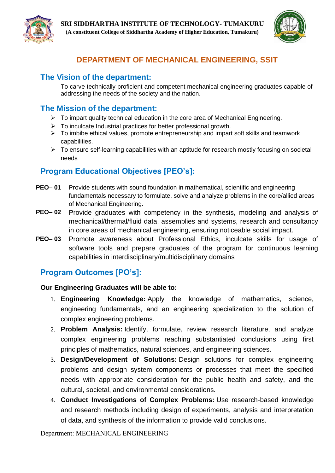



# **DEPARTMENT OF MECHANICAL ENGINEERING, SSIT**

# **The Vision of the department:**

To carve technically proficient and competent mechanical engineering graduates capable of addressing the needs of the society and the nation.

# **The Mission of the department:**

- $\triangleright$  To impart quality technical education in the core area of Mechanical Engineering.
- $\triangleright$  To inculcate Industrial practices for better professional growth.
- $\triangleright$  To imbibe ethical values, promote entrepreneurship and impart soft skills and teamwork capabilities.
- ➢ To ensure self-learning capabilities with an aptitude for research mostly focusing on societal needs

# **Program Educational Objectives [PEO's]:**

- **PEO– 01** Provide students with sound foundation in mathematical, scientific and engineering fundamentals necessary to formulate, solve and analyze problems in the core/allied areas of Mechanical Engineering.
- **PEO– 02** Provide graduates with competency in the synthesis, modeling and analysis of mechanical/thermal/fluid data, assemblies and systems, research and consultancy in core areas of mechanical engineering, ensuring noticeable social impact.
- **PEO– 03** Promote awareness about Professional Ethics, inculcate skills for usage of software tools and prepare graduates of the program for continuous learning capabilities in interdisciplinary/multidisciplinary domains

# **Program Outcomes [PO's]:**

## **Our Engineering Graduates will be able to:**

- 1. **Engineering Knowledge:** Apply the knowledge of mathematics, science, engineering fundamentals, and an engineering specialization to the solution of complex engineering problems.
- 2. **Problem Analysis:** Identify, formulate, review research literature, and analyze complex engineering problems reaching substantiated conclusions using first principles of mathematics, natural sciences, and engineering sciences.
- 3. **Design/Development of Solutions:** Design solutions for complex engineering problems and design system components or processes that meet the specified needs with appropriate consideration for the public health and safety, and the cultural, societal, and environmental considerations.
- 4. **Conduct Investigations of Complex Problems:** Use research-based knowledge and research methods including design of experiments, analysis and interpretation of data, and synthesis of the information to provide valid conclusions.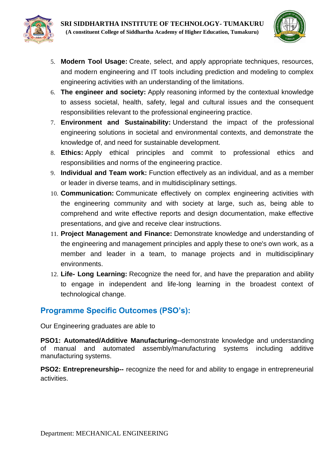

- 5. **Modern Tool Usage:** Create, select, and apply appropriate techniques, resources, and modern engineering and IT tools including prediction and modeling to complex engineering activities with an understanding of the limitations.
- 6. **The engineer and society:** Apply reasoning informed by the contextual knowledge to assess societal, health, safety, legal and cultural issues and the consequent responsibilities relevant to the professional engineering practice.
- 7. **Environment and Sustainability:** Understand the impact of the professional engineering solutions in societal and environmental contexts, and demonstrate the knowledge of, and need for sustainable development.
- 8. **Ethics:** Apply ethical principles and commit to professional ethics and responsibilities and norms of the engineering practice.
- 9. **Individual and Team work:** Function effectively as an individual, and as a member or leader in diverse teams, and in multidisciplinary settings.
- 10. **Communication:** Communicate effectively on complex engineering activities with the engineering community and with society at large, such as, being able to comprehend and write effective reports and design documentation, make effective presentations, and give and receive clear instructions.
- 11. **Project Management and Finance:** Demonstrate knowledge and understanding of the engineering and management principles and apply these to one's own work, as a member and leader in a team, to manage projects and in multidisciplinary environments.
- 12. **Life- Long Learning:** Recognize the need for, and have the preparation and ability to engage in independent and life-long learning in the broadest context of technological change.

# **Programme Specific Outcomes (PSO's):**

Our Engineering graduates are able to

**PSO1: Automated/Additive Manufacturing--**demonstrate knowledge and understanding of manual and automated assembly/manufacturing systems including additive manufacturing systems.

**PSO2: Entrepreneurship--** recognize the need for and ability to engage in entrepreneurial activities.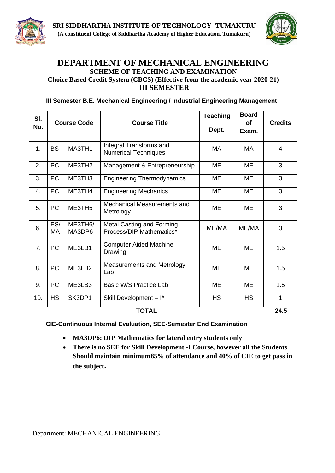



## **DEPARTMENT OF MECHANICAL ENGINEERING SCHEME OF TEACHING AND EXAMINATION Choice Based Credit System (CBCS) (Effective from the academic year 2020-21) III SEMESTER**

| III Semester B.E. Mechanical Engineering / Industrial Engineering Management   |                                                                                           |                    |                                                                |                 |                                    |                |
|--------------------------------------------------------------------------------|-------------------------------------------------------------------------------------------|--------------------|----------------------------------------------------------------|-----------------|------------------------------------|----------------|
| SI.<br>No.                                                                     | <b>Course Code</b>                                                                        |                    | <b>Course Title</b>                                            |                 | <b>Board</b><br><b>of</b><br>Exam. | <b>Credits</b> |
| 1.                                                                             | <b>BS</b><br>MA3TH1                                                                       |                    | Integral Transforms and<br><b>Numerical Techniques</b>         | <b>MA</b>       | <b>MA</b>                          | $\overline{4}$ |
| 2.                                                                             | <b>PC</b>                                                                                 | ME3TH <sub>2</sub> | Management & Entrepreneurship                                  | ME              | ME                                 | 3              |
| 3.                                                                             | <b>PC</b>                                                                                 | ME3TH <sub>3</sub> | <b>Engineering Thermodynamics</b>                              | ME              | ME                                 | 3              |
| 4.                                                                             | <b>PC</b>                                                                                 | ME3TH4             | <b>Engineering Mechanics</b>                                   | <b>ME</b><br>ME |                                    | 3              |
| 5.                                                                             | <b>PC</b>                                                                                 | ME3TH <sub>5</sub> | Mechanical Measurements and<br>Metrology                       | <b>ME</b>       | <b>ME</b>                          | 3              |
| 6.                                                                             | ES/<br><b>MA</b>                                                                          | ME3TH6/<br>MA3DP6  | Metal Casting and Forming<br>ME/MA<br>Process/DIP Mathematics* |                 | ME/MA                              | 3              |
| 7.                                                                             | <b>Computer Aided Machine</b><br><b>PC</b><br>ME3LB1<br><b>ME</b><br><b>ME</b><br>Drawing |                    | 1.5                                                            |                 |                                    |                |
| 8.                                                                             | <b>PC</b>                                                                                 | ME3LB2             | Measurements and Metrology<br>Lab                              | <b>ME</b>       | <b>ME</b>                          | 1.5            |
| 9.                                                                             | PC                                                                                        | ME3LB3             | Basic W/S Practice Lab                                         | <b>ME</b>       | <b>ME</b>                          | 1.5            |
| <b>HS</b><br>SK3DP1<br>10.<br>Skill Development - I*<br><b>HS</b><br><b>HS</b> |                                                                                           |                    |                                                                |                 |                                    | $\mathbf{1}$   |
| <b>TOTAL</b>                                                                   |                                                                                           |                    |                                                                |                 | 24.5                               |                |
| <b>CIE-Continuous Internal Evaluation, SEE-Semester End Examination</b>        |                                                                                           |                    |                                                                |                 |                                    |                |

• **MA3DP6: DIP Mathematics for lateral entry students only**

• **There is no SEE for Skill Development -I Course, however all the Students Should maintain minimum85% of attendance and 40% of CIE to get pass in the subject.**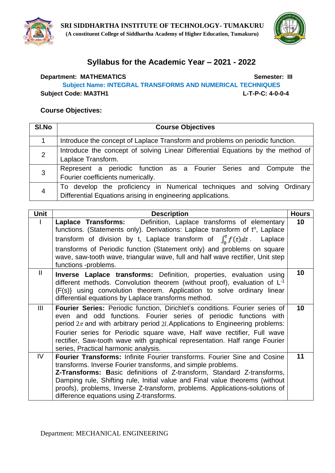

# **Syllabus for the Academic Year – 2021 - 2022**

**Department: MATHEMATICS Semester: III Subject Name: INTEGRAL TRANSFORMS AND NUMERICAL TECHNIQUES Subject Code: MA3TH1 L-T-P-C: 4-0-0-4**

| SI.No          | <b>Course Objectives</b>                                                                                                               |  |  |  |
|----------------|----------------------------------------------------------------------------------------------------------------------------------------|--|--|--|
|                | Introduce the concept of Laplace Transform and problems on periodic function.                                                          |  |  |  |
| $\overline{2}$ | Introduce the concept of solving Linear Differential Equations by the method of<br>Laplace Transform.                                  |  |  |  |
| 3              | Represent a periodic function as a Fourier Series and Compute the<br>Fourier coefficients numerically.                                 |  |  |  |
| 4              | To develop the proficiency in Numerical techniques and solving Ordinary<br>Differential Equations arising in engineering applications. |  |  |  |

| <b>Unit</b>   | <b>Description</b>                                                                                                                                                                                                                                                                                                                                                                                                                             | <b>Hours</b> |
|---------------|------------------------------------------------------------------------------------------------------------------------------------------------------------------------------------------------------------------------------------------------------------------------------------------------------------------------------------------------------------------------------------------------------------------------------------------------|--------------|
|               | <b>Laplace Transforms:</b> Definition, Laplace transforms of elementary<br>functions. (Statements only). Derivations: Laplace transform of t <sup>n</sup> , Laplace<br>transform of division by t, Laplace transform of $\int_{0}^{t} f(t) dt$<br>Laplace<br>transforms of Periodic function (Statement only) and problems on square<br>wave, saw-tooth wave, triangular wave, full and half wave rectifier, Unit step<br>functions -problems. | 10           |
| $\mathbf{II}$ | <b>Inverse Laplace transforms:</b> Definition, properties, evaluation using<br>different methods. Convolution theorem (without proof), evaluation of $L1$<br>{F(s)} using convolution theorem. Application to solve ordinary linear<br>differential equations by Laplace transforms method.                                                                                                                                                    | 10           |
| Ш             | Fourier Series: Periodic function, Dirichlet's conditions. Fourier series of<br>even and odd functions. Fourier series of periodic functions with<br>period $2\pi$ and with arbitrary period 2l. Applications to Engineering problems:<br>Fourier series for Periodic square wave, Half wave rectifier, Full wave<br>rectifier, Saw-tooth wave with graphical representation. Half range Fourier<br>series, Practical harmonic analysis.       | 10           |
| IV.           | <b>Fourier Transforms: Infinite Fourier transforms. Fourier Sine and Cosine</b><br>transforms. Inverse Fourier transforms, and simple problems.<br>Z-Transforms: Basic definitions of Z-transform, Standard Z-transforms,<br>Damping rule, Shifting rule, Initial value and Final value theorems (without<br>proofs), problems, Inverse Z-transform, problems. Applications-solutions of<br>difference equations using Z-transforms.           | 11           |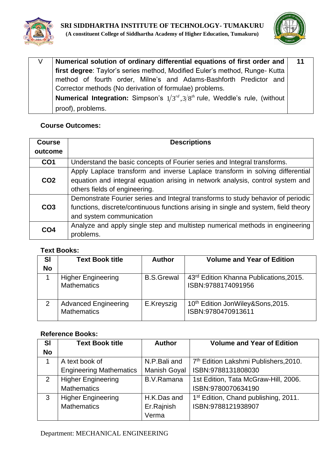



| Numerical solution of ordinary differential equations of first order and                   |  |  |  |  |
|--------------------------------------------------------------------------------------------|--|--|--|--|
| first degree: Taylor's series method, Modified Euler's method, Runge-Kutta                 |  |  |  |  |
| method of fourth order, Milne's and Adams-Bashforth Predictor and                          |  |  |  |  |
| Corrector methods (No derivation of formulae) problems.                                    |  |  |  |  |
| <b>Numerical Integration:</b> Simpson's $1/3^{rd}, 3/8^{th}$ rule, Weddle's rule, (without |  |  |  |  |
| proof), problems.                                                                          |  |  |  |  |

| <b>Course</b>   | <b>Descriptions</b>                                                                 |  |  |
|-----------------|-------------------------------------------------------------------------------------|--|--|
| outcome         |                                                                                     |  |  |
| CO <sub>1</sub> | Understand the basic concepts of Fourier series and Integral transforms.            |  |  |
|                 | Apply Laplace transform and inverse Laplace transform in solving differential       |  |  |
| CO <sub>2</sub> | equation and integral equation arising in network analysis, control system and      |  |  |
|                 | others fields of engineering.                                                       |  |  |
|                 | Demonstrate Fourier series and Integral transforms to study behavior of periodic    |  |  |
| CO <sub>3</sub> | functions, discrete/continuous functions arising in single and system, field theory |  |  |
|                 | and system communication                                                            |  |  |
| CO <sub>4</sub> | Analyze and apply single step and multistep numerical methods in engineering        |  |  |
|                 | problems.                                                                           |  |  |

## **Text Books:**

| SI<br><b>No</b> | <b>Text Book title</b>                            | <b>Author</b>     | <b>Volume and Year of Edition</b>                             |
|-----------------|---------------------------------------------------|-------------------|---------------------------------------------------------------|
|                 | <b>Higher Engineering</b><br><b>Mathematics</b>   | <b>B.S.Grewal</b> | 43rd Edition Khanna Publications, 2015.<br>ISBN:9788174091956 |
| $\mathcal{P}$   | <b>Advanced Engineering</b><br><b>Mathematics</b> | E.Kreyszig        | 10th Edition JonWiley&Sons, 2015.<br>ISBN:9780470913611       |

| <b>SI</b><br><b>No</b> | <b>Text Book title</b>         | <b>Author</b>       | <b>Volume and Year of Edition</b>                 |  |
|------------------------|--------------------------------|---------------------|---------------------------------------------------|--|
|                        | A text book of                 | N.P.Bali and        | 7 <sup>th</sup> Edition Lakshmi Publishers, 2010. |  |
|                        | <b>Engineering Mathematics</b> | <b>Manish Goyal</b> | ISBN:9788131808030                                |  |
| 2                      | <b>Higher Engineering</b>      | B.V.Ramana          | 1st Edition, Tata McGraw-Hill, 2006.              |  |
|                        | <b>Mathematics</b>             |                     | ISBN:9780070634190                                |  |
| 3                      | <b>Higher Engineering</b>      | H.K.Das and         | 1 <sup>st</sup> Edition, Chand publishing, 2011.  |  |
|                        | <b>Mathematics</b>             | Er.Rajnish          | ISBN:9788121938907                                |  |
|                        |                                | Verma               |                                                   |  |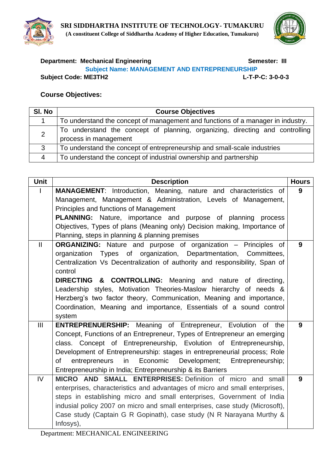



## **Department: Mechanical Engineering Community Community Semester: III Subject Name: MANAGEMENT AND ENTREPRENEURSHIP Subject Code: ME3TH2 L-T-P-C: 3-0-0-3**

| SI. No | <b>Course Objectives</b>                                                                              |  |  |  |
|--------|-------------------------------------------------------------------------------------------------------|--|--|--|
|        | To understand the concept of management and functions of a manager in industry.                       |  |  |  |
| 2      | To understand the concept of planning, organizing, directing and controlling<br>process in management |  |  |  |
| 3      | To understand the concept of entrepreneurship and small-scale industries                              |  |  |  |
|        | To understand the concept of industrial ownership and partnership                                     |  |  |  |

| <b>Unit</b>    | <b>Description</b>                                                           | <b>Hours</b> |  |  |  |
|----------------|------------------------------------------------------------------------------|--------------|--|--|--|
|                | MANAGEMENT: Introduction, Meaning, nature and characteristics of             | 9            |  |  |  |
|                | Management, Management & Administration, Levels of Management,               |              |  |  |  |
|                | Principles and functions of Management                                       |              |  |  |  |
|                | <b>PLANNING:</b> Nature, importance and purpose of planning<br>process       |              |  |  |  |
|                | Objectives, Types of plans (Meaning only) Decision making, Importance of     |              |  |  |  |
|                | Planning, steps in planning & planning premises                              |              |  |  |  |
| $\mathbf{I}$   | <b>ORGANIZING:</b> Nature and purpose of organization – Principles of        | 9            |  |  |  |
|                | organization Types of organization, Departmentation, Committees,             |              |  |  |  |
|                | Centralization Vs Decentralization of authority and responsibility, Span of  |              |  |  |  |
|                | control                                                                      |              |  |  |  |
|                | <b>DIRECTING &amp; CONTROLLING:</b> Meaning and nature of directing,         |              |  |  |  |
|                | Leadership styles, Motivation Theories-Maslow hierarchy of needs &           |              |  |  |  |
|                | Herzberg's two factor theory, Communication, Meaning and importance,         |              |  |  |  |
|                | Coordination, Meaning and importance, Essentials of a sound control          |              |  |  |  |
|                | system                                                                       |              |  |  |  |
| $\mathbf{III}$ | ENTREPRENUERSHIP: Meaning of Entrepreneur, Evolution of the                  | 9            |  |  |  |
|                | Concept, Functions of an Entrepreneur, Types of Entrepreneur an emerging     |              |  |  |  |
|                | class. Concept of Entrepreneurship, Evolution of Entrepreneurship,           |              |  |  |  |
|                | Development of Entrepreneurship: stages in entrepreneurial process; Role     |              |  |  |  |
|                | in<br>Economic<br>Development;<br>of<br>entrepreneurs<br>Entrepreneurship;   |              |  |  |  |
|                | Entrepreneurship in India; Entrepreneurship & its Barriers                   |              |  |  |  |
| IV             | MICRO AND SMALL ENTERPRISES: Definition of micro and small                   | 9            |  |  |  |
|                | enterprises, characteristics and advantages of micro and small enterprises,  |              |  |  |  |
|                | steps in establishing micro and small enterprises, Government of India       |              |  |  |  |
|                | indusial policy 2007 on micro and small enterprises, case study (Microsoft), |              |  |  |  |
|                | Case study (Captain G R Gopinath), case study (N R Narayana Murthy &         |              |  |  |  |
|                | Infosys),                                                                    |              |  |  |  |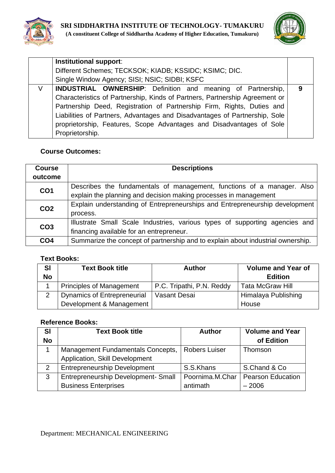



|   | Institutional support:                                                      |   |  |
|---|-----------------------------------------------------------------------------|---|--|
|   | Different Schemes; TECKSOK; KIADB; KSSIDC; KSIMC; DIC.                      |   |  |
|   | Single Window Agency; SISI; NSIC; SIDBI; KSFC                               |   |  |
| V | <b>INDUSTRIAL OWNERSHIP:</b> Definition and meaning of Partnership,         | 9 |  |
|   | Characteristics of Partnership, Kinds of Partners, Partnership Agreement or |   |  |
|   | Partnership Deed, Registration of Partnership Firm, Rights, Duties and      |   |  |
|   | Liabilities of Partners, Advantages and Disadvantages of Partnership, Sole  |   |  |
|   | proprietorship, Features, Scope Advantages and Disadvantages of Sole        |   |  |
|   | Proprietorship.                                                             |   |  |

| <b>Course</b>   | <b>Descriptions</b>                                                             |  |  |
|-----------------|---------------------------------------------------------------------------------|--|--|
| outcome         |                                                                                 |  |  |
| CO <sub>1</sub> | Describes the fundamentals of management, functions of a manager. Also          |  |  |
|                 | explain the planning and decision making processes in management                |  |  |
| CO <sub>2</sub> | Explain understanding of Entrepreneurships and Entrepreneurship development     |  |  |
|                 | process.                                                                        |  |  |
| CO <sub>3</sub> | Illustrate Small Scale Industries, various types of supporting agencies and     |  |  |
|                 | financing available for an entrepreneur.                                        |  |  |
| CO <sub>4</sub> | Summarize the concept of partnership and to explain about industrial ownership. |  |  |

## **Text Books:**

| <b>SI</b> | <b>Text Book title</b>             | <b>Author</b>             | <b>Volume and Year of</b> |  |
|-----------|------------------------------------|---------------------------|---------------------------|--|
| <b>No</b> |                                    |                           | <b>Edition</b>            |  |
|           | <b>Principles of Management</b>    | P.C. Tripathi, P.N. Reddy | <b>Tata McGraw Hill</b>   |  |
|           | <b>Dynamics of Entrepreneurial</b> | Vasant Desai              | Himalaya Publishing       |  |
|           | Development & Management           |                           | House                     |  |

| <b>SI</b> | <b>Text Book title</b>              | <b>Author</b>        | <b>Volume and Year</b>   |
|-----------|-------------------------------------|----------------------|--------------------------|
| <b>No</b> |                                     |                      | of Edition               |
|           | Management Fundamentals Concepts,   | <b>Robers Luiser</b> | Thomson                  |
|           | Application, Skill Development      |                      |                          |
| 2         | <b>Entrepreneurship Development</b> | S.S.Khans            | S.Chand & Co.            |
| 3         | Entrepreneurship Development- Small | Poornima.M.Char      | <b>Pearson Education</b> |
|           | <b>Business Enterprises</b>         | antimath             | $-2006$                  |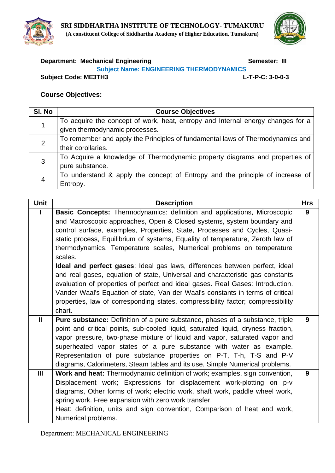



# **Department: Mechanical Engineering Community Community Community Community Community Community Community Community Subject Name: ENGINEERING THERMODYNAMICS**

**Subject Code: ME3TH3 L-T-P-C: 3-0-0-3**

## **Course Objectives:**

| SI. No | <b>Course Objectives</b>                                                        |  |  |
|--------|---------------------------------------------------------------------------------|--|--|
|        | To acquire the concept of work, heat, entropy and Internal energy changes for a |  |  |
|        | given thermodynamic processes.                                                  |  |  |
| 2      | To remember and apply the Principles of fundamental laws of Thermodynamics and  |  |  |
|        | their corollaries.                                                              |  |  |
| 3      | To Acquire a knowledge of Thermodynamic property diagrams and properties of     |  |  |
|        | pure substance.                                                                 |  |  |
|        | To understand & apply the concept of Entropy and the principle of increase of   |  |  |
|        | Entropy.                                                                        |  |  |

| <b>Unit</b>  | <b>Description</b>                                                                                                                                                                                                                                                                                                                                                                                                                                                                                                                                                                                                                                                                                                                                                                                                                              | <b>Hrs</b> |
|--------------|-------------------------------------------------------------------------------------------------------------------------------------------------------------------------------------------------------------------------------------------------------------------------------------------------------------------------------------------------------------------------------------------------------------------------------------------------------------------------------------------------------------------------------------------------------------------------------------------------------------------------------------------------------------------------------------------------------------------------------------------------------------------------------------------------------------------------------------------------|------------|
|              | Basic Concepts: Thermodynamics: definition and applications, Microscopic<br>and Macroscopic approaches, Open & Closed systems, system boundary and<br>control surface, examples, Properties, State, Processes and Cycles, Quasi-<br>static process, Equilibrium of systems, Equality of temperature, Zeroth law of<br>thermodynamics, Temperature scales, Numerical problems on temperature<br>scales.<br><b>Ideal and perfect gases:</b> Ideal gas laws, differences between perfect, ideal<br>and real gases, equation of state, Universal and characteristic gas constants<br>evaluation of properties of perfect and ideal gases. Real Gases: Introduction.<br>Vander Waal's Equation of state, Van der Waal's constants in terms of critical<br>properties, law of corresponding states, compressibility factor; compressibility<br>chart. | 9          |
| $\mathbf{H}$ | Pure substance: Definition of a pure substance, phases of a substance, triple<br>point and critical points, sub-cooled liquid, saturated liquid, dryness fraction,<br>vapor pressure, two-phase mixture of liquid and vapor, saturated vapor and<br>superheated vapor states of a pure substance with water as example.<br>Representation of pure substance properties on P-T, T-h, T-S and P-V<br>diagrams, Calorimeters, Steam tables and its use, Simple Numerical problems.                                                                                                                                                                                                                                                                                                                                                                 | 9          |
| III          | Work and heat: Thermodynamic definition of work; examples, sign convention,<br>Displacement work; Expressions for displacement work-plotting on p-v<br>diagrams, Other forms of work; electric work, shaft work, paddle wheel work,<br>spring work. Free expansion with zero work transfer.<br>Heat: definition, units and sign convention, Comparison of heat and work,<br>Numerical problems.                                                                                                                                                                                                                                                                                                                                                                                                                                                 | 9          |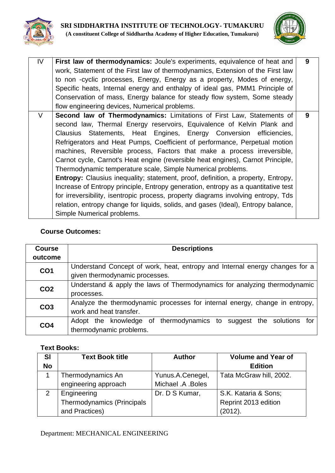



| IV | First law of thermodynamics: Joule's experiments, equivalence of heat and               | 9 |
|----|-----------------------------------------------------------------------------------------|---|
|    |                                                                                         |   |
|    | work, Statement of the First law of thermodynamics, Extension of the First law          |   |
|    | to non -cyclic processes, Energy, Energy as a property, Modes of energy,                |   |
|    | Specific heats, Internal energy and enthalpy of ideal gas, PMM1 Principle of            |   |
|    | Conservation of mass, Energy balance for steady flow system, Some steady                |   |
|    | flow engineering devices, Numerical problems.                                           |   |
| V  | Second law of Thermodynamics: Limitations of First Law, Statements of                   | 9 |
|    | second law, Thermal Energy reservoirs, Equivalence of Kelvin Plank and                  |   |
|    | Clausius Statements, Heat Engines, Energy Conversion efficiencies,                      |   |
|    | Refrigerators and Heat Pumps, Coefficient of performance, Perpetual motion              |   |
|    | machines, Reversible process, Factors that make a process irreversible,                 |   |
|    | Carnot cycle, Carnot's Heat engine (reversible heat engines), Carnot Principle,         |   |
|    | Thermodynamic temperature scale, Simple Numerical problems.                             |   |
|    | <b>Entropy:</b> Clausius inequality; statement, proof, definition, a property, Entropy, |   |
|    | Increase of Entropy principle, Entropy generation, entropy as a quantitative test       |   |
|    | for irreversibility, isentropic process, property diagrams involving entropy, Tds       |   |
|    | relation, entropy change for liquids, solids, and gases (Ideal), Entropy balance,       |   |
|    | Simple Numerical problems.                                                              |   |

| <b>Course</b><br>outcome | <b>Descriptions</b>                                                                                           |  |  |
|--------------------------|---------------------------------------------------------------------------------------------------------------|--|--|
| CO <sub>1</sub>          | Understand Concept of work, heat, entropy and Internal energy changes for a<br>given thermodynamic processes. |  |  |
| CO <sub>2</sub>          | Understand & apply the laws of Thermodynamics for analyzing thermodynamic<br>processes.                       |  |  |
| CO <sub>3</sub>          | Analyze the thermodynamic processes for internal energy, change in entropy,<br>work and heat transfer.        |  |  |
| CO <sub>4</sub>          | Adopt the knowledge of thermodynamics to suggest the solutions<br>tor<br>thermodynamic problems.              |  |  |

## **Text Books:**

| <b>SI</b> | <b>Text Book title</b>     | <b>Author</b>     | <b>Volume and Year of</b> |
|-----------|----------------------------|-------------------|---------------------------|
| <b>No</b> |                            |                   | <b>Edition</b>            |
|           | Thermodynamics An          | Yunus.A.Cenegel,  | Tata McGraw hill, 2002.   |
|           | engineering approach       | Michael .A .Boles |                           |
| 2         | Engineering                | Dr. D S Kumar,    | S.K. Kataria & Sons;      |
|           | Thermodynamics (Principals |                   | Reprint 2013 edition      |
|           | and Practices)             |                   | (2012).                   |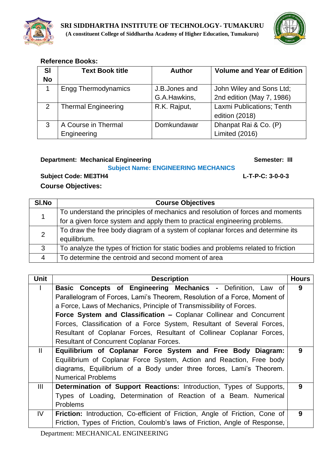



## **Reference Books:**

| <b>SI</b><br><b>No</b> | <b>Text Book title</b>     | <b>Author</b>  | <b>Volume and Year of Edition</b> |
|------------------------|----------------------------|----------------|-----------------------------------|
|                        | <b>Engg Thermodynamics</b> | J.B. Jones and | John Wiley and Sons Ltd;          |
|                        |                            | G.A.Hawkins,   | 2nd edition (May 7, 1986)         |
| 2                      | <b>Thermal Engineering</b> | R.K. Rajput,   | Laxmi Publications; Tenth         |
|                        |                            |                | edition (2018)                    |
| 3                      | A Course in Thermal        | Domkundawar    | Dhanpat Rai & Co. (P)             |
|                        | Engineering                |                | Limited (2016)                    |

## **Department: Mechanical Engineering Community Community Community Community Community Community Community Community Community Community Community Community Community Community Community Community Community Community Commun**

### **Subject Name: ENGINEERING MECHANICS**

**Subject Code: ME3TH4 L-T-P-C: 3-0-0-3**

| SI.No          | <b>Course Objectives</b>                                                            |  |  |
|----------------|-------------------------------------------------------------------------------------|--|--|
|                | To understand the principles of mechanics and resolution of forces and moments      |  |  |
|                | for a given force system and apply them to practical engineering problems.          |  |  |
| 2              | To draw the free body diagram of a system of coplanar forces and determine its      |  |  |
|                | equilibrium.                                                                        |  |  |
| 3              | To analyze the types of friction for static bodies and problems related to friction |  |  |
| $\overline{4}$ | To determine the centroid and second moment of area                                 |  |  |

| <b>Unit</b>   | <b>Description</b>                                                           | <b>Hours</b> |
|---------------|------------------------------------------------------------------------------|--------------|
|               | Basic Concepts of Engineering Mechanics - Definition, Law of                 | 9            |
|               | Parallelogram of Forces, Lami's Theorem, Resolution of a Force, Moment of    |              |
|               | a Force, Laws of Mechanics, Principle of Transmissibility of Forces.         |              |
|               | Force System and Classification - Coplanar Collinear and Concurrent          |              |
|               | Forces, Classification of a Force System, Resultant of Several Forces,       |              |
|               | Resultant of Coplanar Forces, Resultant of Collinear Coplanar Forces,        |              |
|               | <b>Resultant of Concurrent Coplanar Forces.</b>                              |              |
| $\mathbf{II}$ | Equilibrium of Coplanar Force System and Free Body Diagram:                  | 9            |
|               | Equilibrium of Coplanar Force System, Action and Reaction, Free body         |              |
|               | diagrams, Equilibrium of a Body under three forces, Lami's Theorem.          |              |
|               | <b>Numerical Problems</b>                                                    |              |
| III           | Determination of Support Reactions: Introduction, Types of Supports,         | 9            |
|               | Types of Loading, Determination of Reaction of a Beam. Numerical             |              |
|               | <b>Problems</b>                                                              |              |
| IV            | Friction: Introduction, Co-efficient of Friction, Angle of Friction, Cone of | 9            |
|               | Friction, Types of Friction, Coulomb's laws of Friction, Angle of Response,  |              |
|               |                                                                              |              |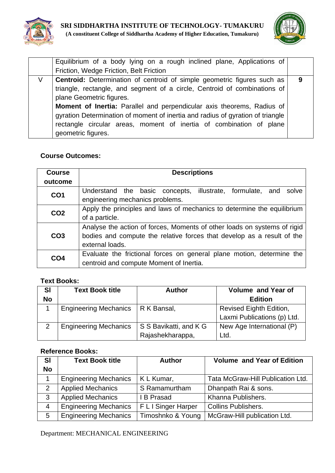



| 9 |
|---|
|   |
|   |
|   |
|   |
|   |
|   |
|   |

| <b>Course</b>   | <b>Descriptions</b>                                                      |  |  |
|-----------------|--------------------------------------------------------------------------|--|--|
| outcome         |                                                                          |  |  |
| CO <sub>1</sub> | Understand the basic concepts,<br>illustrate, formulate, and solve       |  |  |
|                 | engineering mechanics problems.                                          |  |  |
| CO <sub>2</sub> | Apply the principles and laws of mechanics to determine the equilibrium  |  |  |
|                 | of a particle.                                                           |  |  |
|                 | Analyse the action of forces, Moments of other loads on systems of rigid |  |  |
| CO <sub>3</sub> | bodies and compute the relative forces that develop as a result of the   |  |  |
|                 | external loads.                                                          |  |  |
| CO <sub>4</sub> | Evaluate the frictional forces on general plane motion, determine the    |  |  |
|                 | centroid and compute Moment of Inertia.                                  |  |  |

## **Text Books:**

| SI        | <b>Text Book title</b>       | <b>Author</b>          | <b>Volume and Year of</b>   |
|-----------|------------------------------|------------------------|-----------------------------|
| <b>No</b> |                              |                        | <b>Edition</b>              |
|           | <b>Engineering Mechanics</b> | R K Bansal,            | Revised Eighth Edition,     |
|           |                              |                        | Laxmi Publications (p) Ltd. |
|           | <b>Engineering Mechanics</b> | S S Bavikatti, and K G | New Age International (P)   |
|           |                              | Rajashekharappa,       | Ltd.                        |

## **Reference Books:**

| <b>SI</b>       | <b>Text Book title</b>       | <b>Author</b>       | <b>Volume and Year of Edition</b> |
|-----------------|------------------------------|---------------------|-----------------------------------|
| <b>No</b>       |                              |                     |                                   |
|                 | <b>Engineering Mechanics</b> | K L Kumar,          | Tata McGraw-Hill Publication Ltd. |
| 2               | <b>Applied Mechanics</b>     | S Ramamurtham       | Dhanpath Rai & sons.              |
| 3               | <b>Applied Mechanics</b>     | I B Prasad          | Khanna Publishers.                |
| $\overline{4}$  | <b>Engineering Mechanics</b> | F L I Singer Harper | <b>Collins Publishers.</b>        |
| $5\overline{)}$ | <b>Engineering Mechanics</b> | Timoshnko & Young   | McGraw-Hill publication Ltd.      |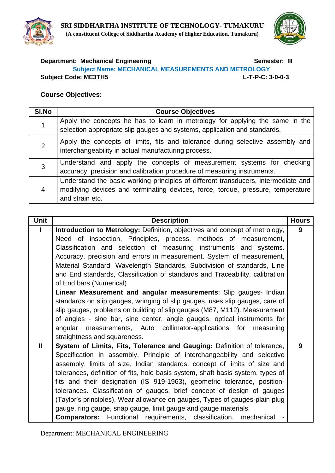



## **Department: Mechanical Engineering Community Community Semester: III Subject Name: MECHANICAL MEASUREMENTS AND METROLOGY Subject Code: ME3TH5 L-T-P-C: 3-0-0-3**

### **Course Objectives:**

| SI.No          | <b>Course Objectives</b>                                                                                                                                                                 |  |  |
|----------------|------------------------------------------------------------------------------------------------------------------------------------------------------------------------------------------|--|--|
|                | Apply the concepts he has to learn in metrology for applying the same in the<br>selection appropriate slip gauges and systems, application and standards.                                |  |  |
| $\overline{2}$ | Apply the concepts of limits, fits and tolerance during selective assembly and<br>interchangeability in actual manufacturing process.                                                    |  |  |
| 3              | Understand and apply the concepts of measurement systems for checking<br>accuracy, precision and calibration procedure of measuring instruments.                                         |  |  |
| 4              | Understand the basic working principles of different transducers, intermediate and<br>modifying devices and terminating devices, force, torque, pressure, temperature<br>and strain etc. |  |  |

| <b>Unit</b>  | <b>Description</b>                                                              | <b>Hours</b> |
|--------------|---------------------------------------------------------------------------------|--------------|
|              | Introduction to Metrology: Definition, objectives and concept of metrology,     | 9            |
|              | Need of inspection, Principles, process, methods of measurement,                |              |
|              | Classification and selection of measuring instruments and systems.              |              |
|              | Accuracy, precision and errors in measurement. System of measurement,           |              |
|              | Material Standard, Wavelength Standards, Subdivision of standards, Line         |              |
|              | and End standards, Classification of standards and Traceability, calibration    |              |
|              | of End bars (Numerical)                                                         |              |
|              | Linear Measurement and angular measurements: Slip gauges- Indian                |              |
|              | standards on slip gauges, wringing of slip gauges, uses slip gauges, care of    |              |
|              | slip gauges, problems on building of slip gauges (M87, M112). Measurement       |              |
|              | of angles - sine bar, sine center, angle gauges, optical instruments for        |              |
|              | angular measurements, Auto collimator-applications for<br>measuring             |              |
|              | straightness and squareness.                                                    |              |
| $\mathbf{I}$ | System of Limits, Fits, Tolerance and Gauging: Definition of tolerance,         | 9            |
|              | Specification in assembly, Principle of interchangeability and selective        |              |
|              | assembly, limits of size, Indian standards, concept of limits of size and       |              |
|              | tolerances, definition of fits, hole basis system, shaft basis system, types of |              |
|              | fits and their designation (IS 919-1963), geometric tolerance, position-        |              |
|              | tolerances. Classification of gauges, brief concept of design of gauges         |              |
|              | (Taylor's principles), Wear allowance on gauges, Types of gauges-plain plug     |              |
|              | gauge, ring gauge, snap gauge, limit gauge and gauge materials.                 |              |
|              | Functional requirements, classification,<br><b>Comparators:</b><br>mechanical   |              |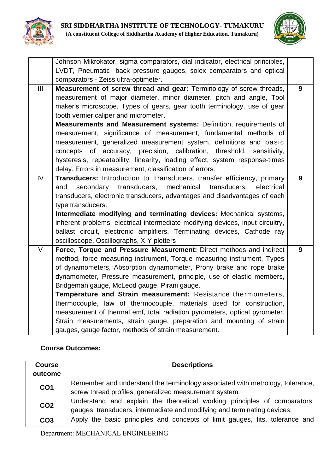



|        | Johnson Mikrokator, sigma comparators, dial indicator, electrical principles,  |   |
|--------|--------------------------------------------------------------------------------|---|
|        | LVDT, Pneumatic- back pressure gauges, solex comparators and optical           |   |
|        | comparators - Zeiss ultra-optimeter.                                           |   |
| III    | Measurement of screw thread and gear: Terminology of screw threads,            | 9 |
|        | measurement of major diameter, minor diameter, pitch and angle, Tool           |   |
|        | maker's microscope, Types of gears, gear tooth terminology, use of gear        |   |
|        | tooth vernier caliper and micrometer.                                          |   |
|        | Measurements and Measurement systems: Definition, requirements of              |   |
|        | measurement, significance of measurement, fundamental methods of               |   |
|        | measurement, generalized measurement system, definitions and basic             |   |
|        | concepts of accuracy, precision, calibration, threshold, sensitivity,          |   |
|        | hysteresis, repeatability, linearity, loading effect, system response-times    |   |
|        | delay. Errors in measurement, classification of errors.                        |   |
| IV     | Transducers: Introduction to Transducers, transfer efficiency, primary         | 9 |
|        | secondary transducers, mechanical transducers,<br>electrical<br>and            |   |
|        | transducers, electronic transducers, advantages and disadvantages of each      |   |
|        | type transducers.                                                              |   |
|        | Intermediate modifying and terminating devices: Mechanical systems,            |   |
|        | inherent problems, electrical intermediate modifying devices, input circuitry, |   |
|        | ballast circuit, electronic amplifiers. Terminating devices, Cathode ray       |   |
|        | oscilloscope, Oscillographs, X-Y plotters                                      |   |
| $\vee$ | Force, Torque and Pressure Measurement: Direct methods and indirect            | 9 |
|        | method, force measuring instrument, Torque measuring instrument, Types         |   |
|        | of dynamometers, Absorption dynamometer, Prony brake and rope brake            |   |
|        | dynamometer, Pressure measurement, principle, use of elastic members,          |   |
|        | Bridgeman gauge, McLeod gauge, Pirani gauge.                                   |   |
|        | Temperature and Strain measurement: Resistance thermometers,                   |   |
|        | thermocouple, law of thermocouple, materials used for construction,            |   |
|        | measurement of thermal emf, total radiation pyrometers, optical pyrometer.     |   |
|        | Strain measurements, strain gauge, preparation and mounting of strain          |   |
|        | gauges, gauge factor, methods of strain measurement.                           |   |

| <b>Descriptions</b><br><b>Course</b>                                                            |                                                                               |  |  |
|-------------------------------------------------------------------------------------------------|-------------------------------------------------------------------------------|--|--|
| outcome                                                                                         |                                                                               |  |  |
| CO <sub>1</sub>                                                                                 | Remember and understand the terminology associated with metrology, tolerance, |  |  |
|                                                                                                 | screw thread profiles, generalized measurement system.                        |  |  |
| CO <sub>2</sub>                                                                                 | Understand and explain the theoretical working principles of comparators,     |  |  |
|                                                                                                 | gauges, transducers, intermediate and modifying and terminating devices.      |  |  |
| Apply the basic principles and concepts of limit gauges, fits, tolerance and<br>CO <sub>3</sub> |                                                                               |  |  |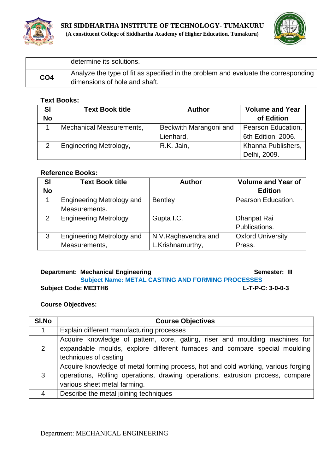



|                 | determine its solutions.                                                                                            |
|-----------------|---------------------------------------------------------------------------------------------------------------------|
| CO <sub>4</sub> | Analyze the type of fit as specified in the problem and evaluate the corresponding<br>dimensions of hole and shaft. |

#### **Text Books:**

| <b>SI</b> | <b>Text Book title</b>          | <b>Author</b>          | <b>Volume and Year</b> |
|-----------|---------------------------------|------------------------|------------------------|
| <b>No</b> |                                 |                        | of Edition             |
|           | <b>Mechanical Measurements,</b> | Beckwith Marangoni and | Pearson Education,     |
|           |                                 | Lienhard,              | 6th Edition, 2006.     |
|           | <b>Engineering Metrology,</b>   | R.K. Jain,             | Khanna Publishers,     |
|           |                                 |                        | Delhi, 2009.           |

#### **Reference Books:**

| <b>SI</b>     | <b>Text Book title</b>           | <b>Author</b>        | <b>Volume and Year of</b> |
|---------------|----------------------------------|----------------------|---------------------------|
| <b>No</b>     |                                  |                      | <b>Edition</b>            |
|               | <b>Engineering Metrology and</b> | <b>Bentley</b>       | Pearson Education.        |
|               | Measurements.                    |                      |                           |
| $\mathcal{P}$ | <b>Engineering Metrology</b>     | Gupta I.C.           | Dhanpat Rai               |
|               |                                  |                      | Publications.             |
| 3             | <b>Engineering Metrology and</b> | N.V. Raghavendra and | <b>Oxford University</b>  |
|               | Measurements,                    | L.Krishnamurthy,     | Press.                    |

## **Department: Mechanical Engineering Community Community Community Community Community Community Community Community**

## **Subject Name: METAL CASTING AND FORMING PROCESSES Subject Code: ME3TH6 L-T-P-C: 3-0-0-3**

| SI.No | <b>Course Objectives</b>                                                          |  |  |
|-------|-----------------------------------------------------------------------------------|--|--|
|       | Explain different manufacturing processes                                         |  |  |
|       | Acquire knowledge of pattern, core, gating, riser and moulding machines for       |  |  |
| 2     | expandable moulds, explore different furnaces and compare special moulding        |  |  |
|       | techniques of casting                                                             |  |  |
|       | Acquire knowledge of metal forming process, hot and cold working, various forging |  |  |
| 3     | operations, Rolling operations, drawing operations, extrusion process, compare    |  |  |
|       | various sheet metal farming.                                                      |  |  |
| 4     | Describe the metal joining techniques                                             |  |  |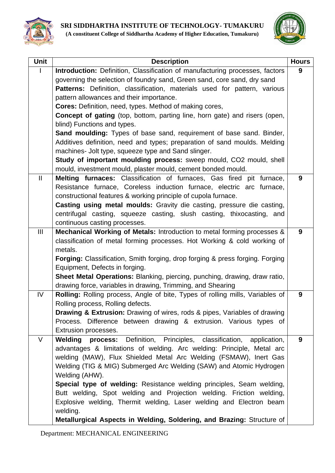

| <b>Unit</b>   | <b>Description</b>                                                                                                                           | <b>Hours</b> |
|---------------|----------------------------------------------------------------------------------------------------------------------------------------------|--------------|
|               | Introduction: Definition, Classification of manufacturing processes, factors                                                                 | 9            |
|               | governing the selection of foundry sand, Green sand, core sand, dry sand                                                                     |              |
|               | Patterns: Definition, classification, materials used for pattern, various                                                                    |              |
|               | pattern allowances and their importance.                                                                                                     |              |
|               | Cores: Definition, need, types. Method of making cores,                                                                                      |              |
|               | <b>Concept of gating</b> (top, bottom, parting line, horn gate) and risers (open,                                                            |              |
|               | blind) Functions and types.                                                                                                                  |              |
|               | Sand moulding: Types of base sand, requirement of base sand. Binder,                                                                         |              |
|               | Additives definition, need and types; preparation of sand moulds. Melding                                                                    |              |
|               | machines- Jolt type, squeeze type and Sand slinger.                                                                                          |              |
|               | Study of important moulding process: sweep mould, CO2 mould, shell                                                                           |              |
|               | mould, investment mould, plaster mould, cement bonded mould.                                                                                 |              |
| $\mathbf{II}$ | Melting furnaces: Classification of furnaces, Gas fired pit furnace,                                                                         | 9            |
|               | Resistance furnace, Coreless induction furnace, electric arc furnace,                                                                        |              |
|               | constructional features & working principle of cupola furnace.                                                                               |              |
|               | <b>Casting using metal moulds:</b> Gravity die casting, pressure die casting,                                                                |              |
|               | centrifugal casting, squeeze casting, slush casting, thixocasting, and                                                                       |              |
|               | continuous casting processes.                                                                                                                |              |
| Ш             | Mechanical Working of Metals: Introduction to metal forming processes &                                                                      | 9            |
|               | classification of metal forming processes. Hot Working & cold working of                                                                     |              |
|               | metals.                                                                                                                                      |              |
|               | <b>Forging:</b> Classification, Smith forging, drop forging & press forging. Forging                                                         |              |
|               | Equipment, Defects in forging.                                                                                                               |              |
|               | Sheet Metal Operations: Blanking, piercing, punching, drawing, draw ratio,                                                                   |              |
| IV            | drawing force, variables in drawing, Trimming, and Shearing<br>Rolling: Rolling process, Angle of bite, Types of rolling mills, Variables of | 9            |
|               | Rolling process, Rolling defects.                                                                                                            |              |
|               | <b>Drawing &amp; Extrusion:</b> Drawing of wires, rods & pipes, Variables of drawing                                                         |              |
|               | Process. Difference between drawing & extrusion. Various types of                                                                            |              |
|               | Extrusion processes.                                                                                                                         |              |
| V             | Welding process:<br>Definition, Principles, classification, application,                                                                     | 9            |
|               | advantages & limitations of welding. Arc welding: Principle, Metal arc                                                                       |              |
|               | welding (MAW), Flux Shielded Metal Arc Welding (FSMAW), Inert Gas                                                                            |              |
|               | Welding (TIG & MIG) Submerged Arc Welding (SAW) and Atomic Hydrogen                                                                          |              |
|               | Welding (AHW).                                                                                                                               |              |
|               | Special type of welding: Resistance welding principles, Seam welding,                                                                        |              |
|               | Butt welding, Spot welding and Projection welding. Friction welding,                                                                         |              |
|               | Explosive welding, Thermit welding, Laser welding and Electron beam                                                                          |              |
|               | welding.                                                                                                                                     |              |
|               | Metallurgical Aspects in Welding, Soldering, and Brazing: Structure of                                                                       |              |
|               |                                                                                                                                              |              |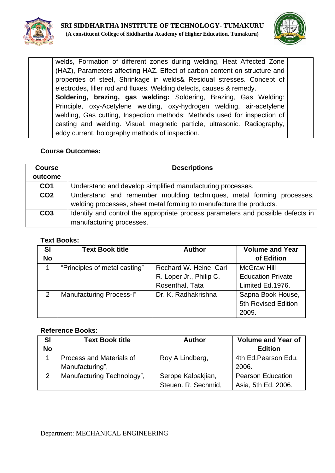



welds, Formation of different zones during welding, Heat Affected Zone (HAZ), Parameters affecting HAZ. Effect of carbon content on structure and properties of steel, Shrinkage in welds& Residual stresses. Concept of electrodes, filler rod and fluxes. Welding defects, causes & remedy. **Soldering, brazing, gas welding:** Soldering, Brazing, Gas Welding: Principle, oxy-Acetylene welding, oxy-hydrogen welding, air-acetylene welding, Gas cutting, Inspection methods: Methods used for inspection of casting and welding. Visual, magnetic particle, ultrasonic. Radiography, eddy current, holography methods of inspection.

## **Course Outcomes:**

| <b>Course</b>   | <b>Descriptions</b>                                                             |  |  |  |
|-----------------|---------------------------------------------------------------------------------|--|--|--|
| outcome         |                                                                                 |  |  |  |
| CO <sub>1</sub> | Understand and develop simplified manufacturing processes.                      |  |  |  |
| CO <sub>2</sub> | Understand and remember moulding techniques, metal forming processes,           |  |  |  |
|                 | welding processes, sheet metal forming to manufacture the products.             |  |  |  |
| CO <sub>3</sub> | Identify and control the appropriate process parameters and possible defects in |  |  |  |
|                 | manufacturing processes.                                                        |  |  |  |

#### **Text Books:**

| <b>SI</b>     | <b>Text Book title</b>          | <b>Author</b>           | <b>Volume and Year</b>   |
|---------------|---------------------------------|-------------------------|--------------------------|
| <b>No</b>     |                                 |                         | of Edition               |
|               | "Principles of metal casting"   | Rechard W. Heine, Carl  | <b>McGraw Hill</b>       |
|               |                                 | R. Loper Jr., Philip C. | <b>Education Private</b> |
|               |                                 | Rosenthal, Tata         | Limited Ed.1976.         |
| $\mathcal{P}$ | <b>Manufacturing Process-I"</b> | Dr. K. Radhakrishna     | Sapna Book House,        |
|               |                                 |                         | 5th Revised Edition      |
|               |                                 |                         | 2009.                    |

| <b>SI</b> | <b>Text Book title</b>          | <b>Author</b>       | <b>Volume and Year of</b> |
|-----------|---------------------------------|---------------------|---------------------------|
| <b>No</b> |                                 |                     | <b>Edition</b>            |
|           | <b>Process and Materials of</b> | Roy A Lindberg,     | 4th Ed. Pearson Edu.      |
|           | Manufacturing",                 |                     | 2006.                     |
| 2         | Manufacturing Technology",      | Serope Kalpakjian,  | <b>Pearson Education</b>  |
|           |                                 | Steuen. R. Sechmid, | Asia, 5th Ed. 2006.       |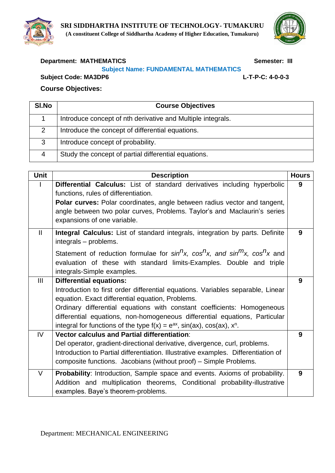



## **Department: MATHEMATICS** Semester: III

### **Subject Name: FUNDAMENTAL MATHEMATICS**

**Subject Code: MA3DP6 L-T-P-C: 4-0-0-3**

| SI.No | <b>Course Objectives</b>                                    |
|-------|-------------------------------------------------------------|
|       | Introduce concept of nth derivative and Multiple integrals. |
| 2     | Introduce the concept of differential equations.            |
| 3     | Introduce concept of probability.                           |
| 4     | Study the concept of partial differential equations.        |

| <b>Unit</b>  | <b>Description</b>                                                                                                                                                                                                                                                                                                                                                                                               | <b>Hours</b> |
|--------------|------------------------------------------------------------------------------------------------------------------------------------------------------------------------------------------------------------------------------------------------------------------------------------------------------------------------------------------------------------------------------------------------------------------|--------------|
|              | Differential Calculus: List of standard derivatives including hyperbolic<br>functions, rules of differentiation.<br><b>Polar curves:</b> Polar coordinates, angle between radius vector and tangent,<br>angle between two polar curves, Problems. Taylor's and Maclaurin's series<br>expansions of one variable.                                                                                                 | 9            |
| $\mathbf{I}$ | <b>Integral Calculus:</b> List of standard integrals, integration by parts. Definite<br>integrals - problems.<br>Statement of reduction formulae for $sin^{n}x$ , $cos^{n}x$ , and $sin^{m}x$ , $cos^{n}x$ and<br>evaluation of these with standard limits-Examples. Double and triple<br>integrals-Simple examples.                                                                                             | 9            |
| III          | <b>Differential equations:</b><br>Introduction to first order differential equations. Variables separable, Linear<br>equation. Exact differential equation, Problems.<br>Ordinary differential equations with constant coefficients: Homogeneous<br>differential equations, non-homogeneous differential equations, Particular<br>integral for functions of the type $f(x) = e^{ax}$ , sin(ax), cos(ax), $x^n$ . | 9            |
| IV.          | Vector calculus and Partial differentiation:<br>Del operator, gradient-directional derivative, divergence, curl, problems.<br>Introduction to Partial differentiation. Illustrative examples. Differentiation of<br>composite functions. Jacobians (without proof) – Simple Problems.                                                                                                                            | 9            |
| V            | Probability: Introduction, Sample space and events. Axioms of probability.<br>Addition and multiplication theorems, Conditional probability-illustrative<br>examples. Baye's theorem-problems.                                                                                                                                                                                                                   | 9            |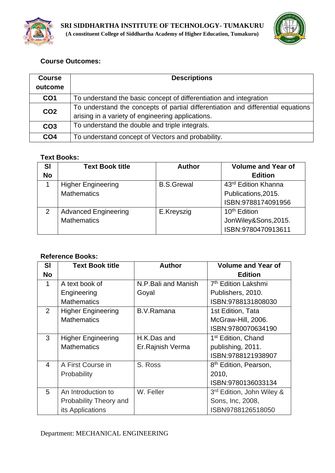



| <b>Course</b>   | <b>Descriptions</b>                                                              |  |
|-----------------|----------------------------------------------------------------------------------|--|
| outcome         |                                                                                  |  |
| CO <sub>1</sub> | To understand the basic concept of differentiation and integration               |  |
| CO <sub>2</sub> | To understand the concepts of partial differentiation and differential equations |  |
|                 | arising in a variety of engineering applications.                                |  |
| CO <sub>3</sub> | To understand the double and triple integrals.                                   |  |
| CO <sub>4</sub> | To understand concept of Vectors and probability.                                |  |

## **Text Books:**

| <b>SI</b><br><b>No</b> | <b>Text Book title</b>      | <b>Author</b>     | <b>Volume and Year of</b><br><b>Edition</b> |
|------------------------|-----------------------------|-------------------|---------------------------------------------|
|                        | <b>Higher Engineering</b>   | <b>B.S.Grewal</b> | 43rd Edition Khanna                         |
|                        | <b>Mathematics</b>          |                   | Publications, 2015.                         |
|                        |                             |                   | ISBN:9788174091956                          |
| $\mathcal{P}$          | <b>Advanced Engineering</b> | E.Kreyszig        | 10 <sup>th</sup> Edition                    |
|                        | <b>Mathematics</b>          |                   | JonWiley&Sons, 2015.                        |
|                        |                             |                   | ISBN:9780470913611                          |

| <b>SI</b>                | <b>Text Book title</b>    | <b>Author</b>        | <b>Volume and Year of</b>             |
|--------------------------|---------------------------|----------------------|---------------------------------------|
| <b>No</b>                |                           |                      | <b>Edition</b>                        |
| 1                        | A text book of            | N.P. Bali and Manish | 7 <sup>th</sup> Edition Lakshmi       |
|                          | Engineering               | Goyal                | Publishers, 2010.                     |
|                          | <b>Mathematics</b>        |                      | ISBN:9788131808030                    |
| $\overline{2}$           | <b>Higher Engineering</b> | B.V.Ramana           | 1st Edition, Tata                     |
|                          | <b>Mathematics</b>        |                      | McGraw-Hill, 2006.                    |
|                          |                           |                      | ISBN:9780070634190                    |
| 3                        | <b>Higher Engineering</b> | H.K.Das and          | 1 <sup>st</sup> Edition, Chand        |
|                          | <b>Mathematics</b>        | Er. Rajnish Verma    | publishing, 2011.                     |
|                          |                           |                      | ISBN:9788121938907                    |
| $\overline{\mathcal{A}}$ | A First Course in         | S. Ross              | 8 <sup>th</sup> Edition, Pearson,     |
|                          | Probability               |                      | 2010,                                 |
|                          |                           |                      | ISBN:9780136033134                    |
| 5                        | An Introduction to        | W. Feller            | 3 <sup>rd</sup> Edition, John Wiley & |
|                          | Probability Theory and    |                      | Sons, Inc, 2008,                      |
|                          | its Applications          |                      | ISBN9788126518050                     |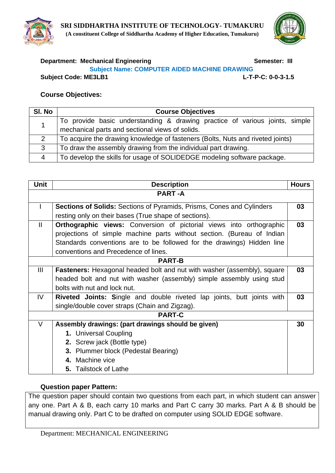



#### **Department: Mechanical Engineering Constrained Semester: III Subject Name: COMPUTER AIDED MACHINE DRAWING**

**Subject Code: ME3LB1 L-T-P-C: 0-0-3-1.5**

#### **Course Objectives:**

| SI. No | <b>Course Objectives</b>                                                       |  |  |
|--------|--------------------------------------------------------------------------------|--|--|
|        | To provide basic understanding & drawing practice of various joints, simple    |  |  |
|        | mechanical parts and sectional views of solids.                                |  |  |
|        | To acquire the drawing knowledge of fasteners (Bolts, Nuts and riveted joints) |  |  |
| 3      | To draw the assembly drawing from the individual part drawing.                 |  |  |
| 4      | To develop the skills for usage of SOLIDEDGE modeling software package.        |  |  |

| Unit           | <b>Description</b>                                                             | <b>Hours</b> |  |
|----------------|--------------------------------------------------------------------------------|--------------|--|
| <b>PART-A</b>  |                                                                                |              |  |
|                | <b>Sections of Solids:</b> Sections of Pyramids, Prisms, Cones and Cylinders   |              |  |
|                | resting only on their bases (True shape of sections).                          |              |  |
| $\mathbf{I}$   | <b>Orthographic views:</b> Conversion of pictorial views into orthographic     | 03           |  |
|                | projections of simple machine parts without section. (Bureau of Indian         |              |  |
|                | Standards conventions are to be followed for the drawings) Hidden line         |              |  |
|                | conventions and Precedence of lines.                                           |              |  |
|                | <b>PART-B</b>                                                                  |              |  |
| $\mathbf{III}$ | <b>Fasteners:</b> Hexagonal headed bolt and nut with washer (assembly), square |              |  |
|                | headed bolt and nut with washer (assembly) simple assembly using stud          |              |  |
|                | bolts with nut and lock nut.                                                   |              |  |
| IV.            | Riveted Joints: Single and double riveted lap joints, butt joints with<br>03   |              |  |
|                | single/double cover straps (Chain and Zigzag).                                 |              |  |
|                | <b>PART-C</b>                                                                  |              |  |
| $\vee$         | Assembly drawings: (part drawings should be given)                             | 30           |  |
|                | 1. Universal Coupling                                                          |              |  |
|                | 2. Screw jack (Bottle type)                                                    |              |  |
|                | 3. Plummer block (Pedestal Bearing)                                            |              |  |
|                | 4. Machine vice                                                                |              |  |
|                | <b>5.</b> Tailstock of Lathe                                                   |              |  |

#### **Question paper Pattern:**

The question paper should contain two questions from each part, in which student can answer any one. Part A & B, each carry 10 marks and Part C carry 30 marks. Part A & B should be manual drawing only. Part C to be drafted on computer using SOLID EDGE software.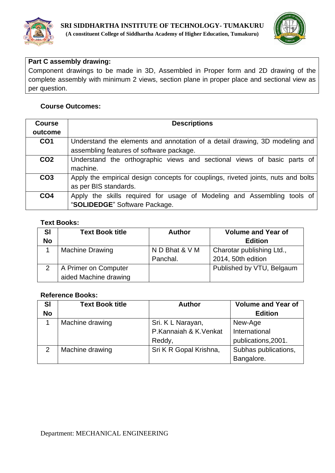



## **Part C assembly drawing:**

Component drawings to be made in 3D, Assembled in Proper form and 2D drawing of the complete assembly with minimum 2 views, section plane in proper place and sectional view as per question.

## **Course Outcomes:**

| <b>Course</b>   | <b>Descriptions</b>                                                                                                     |
|-----------------|-------------------------------------------------------------------------------------------------------------------------|
| outcome         |                                                                                                                         |
| CO <sub>1</sub> | Understand the elements and annotation of a detail drawing, 3D modeling and<br>assembling features of software package. |
| CO <sub>2</sub> | Understand the orthographic views and sectional views of basic parts of<br>machine.                                     |
| CO <sub>3</sub> | Apply the empirical design concepts for couplings, riveted joints, nuts and bolts<br>as per BIS standards.              |
| CO <sub>4</sub> | Apply the skills required for usage of Modeling and Assembling tools of<br>"SOLIDEDGE" Software Package.                |

## **Text Books:**

| <b>SI</b> | <b>Text Book title</b> | <b>Author</b>  | <b>Volume and Year of</b> |
|-----------|------------------------|----------------|---------------------------|
| <b>No</b> |                        |                | <b>Edition</b>            |
|           | <b>Machine Drawing</b> | N D Bhat & V M | Charotar publishing Ltd., |
|           |                        | Panchal.       | 2014, 50th edition        |
| 2         | A Primer on Computer   |                | Published by VTU, Belgaum |
|           | aided Machine drawing  |                |                           |

| <b>SI</b>     | <b>Text Book title</b> | <b>Author</b>          | <b>Volume and Year of</b> |
|---------------|------------------------|------------------------|---------------------------|
| <b>No</b>     |                        |                        | <b>Edition</b>            |
|               | Machine drawing        | Sri. K L Narayan,      | New-Age                   |
|               |                        | P.Kannaiah & K.Venkat  | International             |
|               |                        | Reddy,                 | publications, 2001.       |
| $\mathcal{P}$ | Machine drawing        | Sri K R Gopal Krishna, | Subhas publications,      |
|               |                        |                        | Bangalore.                |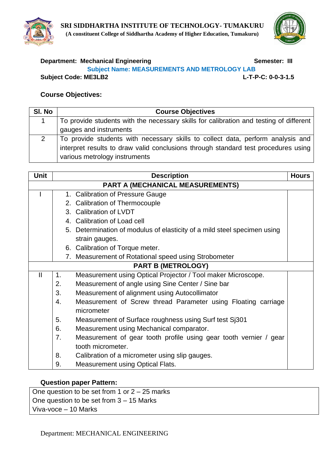



# **Department: Mechanical Engineering Community Community Community Community Community Community Community Community**

**Subject Name: MEASUREMENTS AND METROLOGY LAB**

**Subject Code: ME3LB2 L-T-P-C: 0-0-3-1.5**

# **Course Objectives:**

| SI. No | <b>Course Objectives</b>                                                               |
|--------|----------------------------------------------------------------------------------------|
|        | To provide students with the necessary skills for calibration and testing of different |
|        | gauges and instruments                                                                 |
| 2      | To provide students with necessary skills to collect data, perform analysis and        |
|        | interpret results to draw valid conclusions through standard test procedures using     |
|        | various metrology instruments                                                          |

| <b>Unit</b>  |                | <b>Description</b>                                                       | <b>Hours</b> |
|--------------|----------------|--------------------------------------------------------------------------|--------------|
|              |                | <b>PART A (MECHANICAL MEASUREMENTS)</b>                                  |              |
|              |                | 1. Calibration of Pressure Gauge                                         |              |
|              |                | 2. Calibration of Thermocouple                                           |              |
|              |                | 3. Calibration of LVDT                                                   |              |
|              |                | 4. Calibration of Load cell                                              |              |
|              |                | 5. Determination of modulus of elasticity of a mild steel specimen using |              |
|              |                | strain gauges.                                                           |              |
|              |                | 6. Calibration of Torque meter.                                          |              |
|              |                | 7. Measurement of Rotational speed using Strobometer                     |              |
|              |                | <b>PART B (METROLOGY)</b>                                                |              |
| $\mathbf{I}$ | $\mathbf{1}$ . | Measurement using Optical Projector / Tool maker Microscope.             |              |
|              | 2.             | Measurement of angle using Sine Center / Sine bar                        |              |
|              | 3.             | Measurement of alignment using Autocollimator                            |              |
|              | 4.             | Measurement of Screw thread Parameter using Floating carriage            |              |
|              |                | micrometer                                                               |              |
|              | 5.             | Measurement of Surface roughness using Surf test Sj301                   |              |
|              | 6.             | Measurement using Mechanical comparator.                                 |              |
|              | 7.             | Measurement of gear tooth profile using gear tooth vernier / gear        |              |
|              |                | tooth micrometer.                                                        |              |
|              | 8.             | Calibration of a micrometer using slip gauges.                           |              |
|              | 9.             | <b>Measurement using Optical Flats.</b>                                  |              |

## **Question paper Pattern:**

One question to be set from 1 or  $2 - 25$  marks One question to be set from 3 – 15 Marks Viva-voce – 10 Marks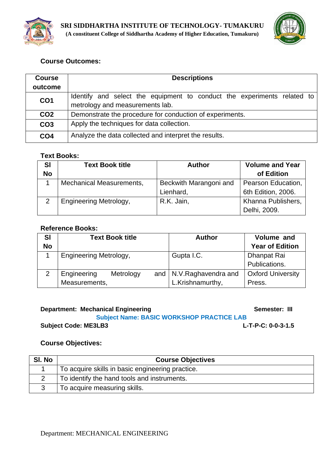



| <b>Course</b>   | <b>Descriptions</b>                                                                                        |  |  |
|-----------------|------------------------------------------------------------------------------------------------------------|--|--|
| outcome         |                                                                                                            |  |  |
| CO <sub>1</sub> | ldentify and select the equipment to conduct the experiments related to<br>metrology and measurements lab. |  |  |
| CO <sub>2</sub> | Demonstrate the procedure for conduction of experiments.                                                   |  |  |
| CO <sub>3</sub> | Apply the techniques for data collection.                                                                  |  |  |
| CO <sub>4</sub> | Analyze the data collected and interpret the results.                                                      |  |  |

## **Text Books:**

| <b>SI</b> | <b>Text Book title</b>          | <b>Author</b>          | <b>Volume and Year</b> |
|-----------|---------------------------------|------------------------|------------------------|
| <b>No</b> |                                 |                        | of Edition             |
|           | <b>Mechanical Measurements,</b> | Beckwith Marangoni and | Pearson Education,     |
|           |                                 | Lienhard,              | 6th Edition, 2006.     |
| 2         | <b>Engineering Metrology,</b>   | R.K. Jain,             | Khanna Publishers,     |
|           |                                 |                        | Delhi, 2009.           |

### **Reference Books:**

| <b>SI</b> | <b>Text Book title</b>        |  | <b>Author</b>              | Volume and               |
|-----------|-------------------------------|--|----------------------------|--------------------------|
| <b>No</b> |                               |  |                            | <b>Year of Edition</b>   |
|           | <b>Engineering Metrology,</b> |  | Gupta I.C.                 | Dhanpat Rai              |
|           |                               |  |                            | Publications.            |
|           | Engineering<br>Metrology      |  | and   N.V. Raghavendra and | <b>Oxford University</b> |
|           | Measurements,                 |  | L.Krishnamurthy,           | Press.                   |

| <b>Department: Mechanical Engineering</b>        | Semester: III      |
|--------------------------------------------------|--------------------|
| <b>Subject Name: BASIC WORKSHOP PRACTICE LAB</b> |                    |
| <b>Subject Code: ME3LB3</b>                      | L-T-P-C: 0-0-3-1.5 |

# **Course Objectives:**

| SI. No | <b>Course Objectives</b>                         |  |
|--------|--------------------------------------------------|--|
|        | To acquire skills in basic engineering practice. |  |
|        | To identify the hand tools and instruments.      |  |
|        | To acquire measuring skills.                     |  |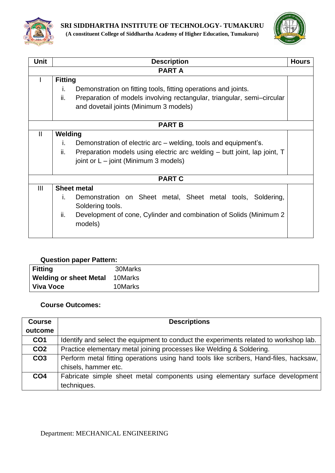



| Unit         | <b>Description</b>                                                              | <b>Hours</b> |  |  |  |
|--------------|---------------------------------------------------------------------------------|--------------|--|--|--|
|              | <b>PARTA</b>                                                                    |              |  |  |  |
|              | <b>Fitting</b>                                                                  |              |  |  |  |
|              | Demonstration on fitting tools, fitting operations and joints.<br>İ.            |              |  |  |  |
|              | ii.<br>Preparation of models involving rectangular, triangular, semi-circular   |              |  |  |  |
|              | and dovetail joints (Minimum 3 models)                                          |              |  |  |  |
|              |                                                                                 |              |  |  |  |
|              | <b>PART B</b>                                                                   |              |  |  |  |
| $\mathbf{I}$ | Welding                                                                         |              |  |  |  |
|              | Demonstration of electric arc – welding, tools and equipment's.<br>i.           |              |  |  |  |
|              | ii.<br>Preparation models using electric arc welding – butt joint, lap joint, T |              |  |  |  |
|              | joint or $L - j$ oint (Minimum 3 models)                                        |              |  |  |  |
|              |                                                                                 |              |  |  |  |
|              | <b>PART C</b>                                                                   |              |  |  |  |
| III          | <b>Sheet metal</b>                                                              |              |  |  |  |
|              | Demonstration on Sheet metal, Sheet metal tools, Soldering,<br>Ĺ.               |              |  |  |  |
|              | Soldering tools.                                                                |              |  |  |  |
|              | ii.<br>Development of cone, Cylinder and combination of Solids (Minimum 2)      |              |  |  |  |
|              | models)                                                                         |              |  |  |  |
|              |                                                                                 |              |  |  |  |
|              |                                                                                 |              |  |  |  |

#### **Question paper Pattern:**

| <b>Fitting</b>                | 30Marks |
|-------------------------------|---------|
| <b>Welding or sheet Metal</b> | 10Marks |
| Viva Voce                     | 10Marks |

#### **Course Outcomes:**

| <b>Course</b>   | <b>Descriptions</b>                                                                   |  |  |
|-----------------|---------------------------------------------------------------------------------------|--|--|
| outcome         |                                                                                       |  |  |
| CO <sub>1</sub> | Identify and select the equipment to conduct the experiments related to workshop lab. |  |  |
| CO <sub>2</sub> | Practice elementary metal joining processes like Welding & Soldering.                 |  |  |
| CO <sub>3</sub> | Perform metal fitting operations using hand tools like scribers, Hand-files, hacksaw, |  |  |
|                 | chisels, hammer etc.                                                                  |  |  |
| CO <sub>4</sub> | Fabricate simple sheet metal components using elementary surface development          |  |  |
|                 | techniques.                                                                           |  |  |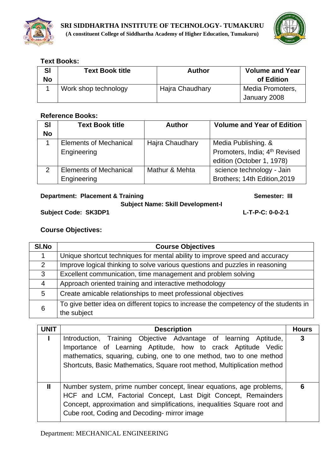



## **Text Books:**

| SI<br><b>No</b> | <b>Text Book title</b> | <b>Author</b>   | <b>Volume and Year</b><br>of Edition |
|-----------------|------------------------|-----------------|--------------------------------------|
|                 | Work shop technology   | Hajra Chaudhary | Media Promoters,<br>January 2008     |

## **Reference Books:**

| <b>SI</b>     | <b>Text Book title</b>        | <b>Author</b>   | <b>Volume and Year of Edition</b> |
|---------------|-------------------------------|-----------------|-----------------------------------|
| <b>No</b>     |                               |                 |                                   |
|               | <b>Elements of Mechanical</b> | Hajra Chaudhary | Media Publishing. &               |
|               | Engineering                   |                 | Promoters, India; 4th Revised     |
|               |                               |                 | edition (October 1, 1978)         |
| $\mathcal{P}$ | <b>Elements of Mechanical</b> | Mathur & Mehta  | science technology - Jain         |
|               | Engineering                   |                 | Brothers; 14th Edition, 2019      |

## **Department: Placement & Training Community Community Community Community Community Community Community Community Community Community Community Community Community Community Community Community Community Community Communit**

## **Subject Name: Skill Development-I**

**Subject Code: SK3DP1 L-T-P-C: 0-0-2-1**

| SI.No          | <b>Course Objectives</b>                                                                             |
|----------------|------------------------------------------------------------------------------------------------------|
|                | Unique shortcut techniques for mental ability to improve speed and accuracy                          |
| $\overline{2}$ | Improve logical thinking to solve various questions and puzzles in reasoning                         |
| 3              | Excellent communication, time management and problem solving                                         |
| 4              | Approach oriented training and interactive methodology                                               |
| 5              | Create amicable relationships to meet professional objectives                                        |
| 6              | To give better idea on different topics to increase the competency of the students in<br>the subject |

| <b>UNIT</b>  | <b>Description</b>                                                                                                                                                                                                                                                                    | <b>Hours</b> |
|--------------|---------------------------------------------------------------------------------------------------------------------------------------------------------------------------------------------------------------------------------------------------------------------------------------|--------------|
|              | Introduction, Training Objective Advantage of learning<br>Aptitude,<br>Importance of Learning Aptitude, how to crack Aptitude Vedic<br>mathematics, squaring, cubing, one to one method, two to one method<br>Shortcuts, Basic Mathematics, Square root method, Multiplication method | 3            |
| $\mathbf{I}$ | Number system, prime number concept, linear equations, age problems,<br>HCF and LCM, Factorial Concept, Last Digit Concept, Remainders<br>Concept, approximation and simplifications, inequalities Square root and<br>Cube root, Coding and Decoding-mirror image                     | 6            |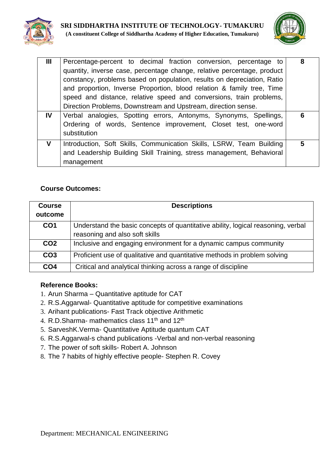



| Ш   | Percentage-percent to decimal fraction conversion, percentage to<br>quantity, inverse case, percentage change, relative percentage, product<br>constancy, problems based on population, results on depreciation, Ratio<br>and proportion, Inverse Proportion, blood relation & family tree, Time<br>speed and distance, relative speed and conversions, train problems,<br>Direction Problems, Downstream and Upstream, direction sense. | 8 |
|-----|------------------------------------------------------------------------------------------------------------------------------------------------------------------------------------------------------------------------------------------------------------------------------------------------------------------------------------------------------------------------------------------------------------------------------------------|---|
| IV. | Verbal analogies, Spotting errors, Antonyms, Synonyms, Spellings,<br>Ordering of words, Sentence improvement, Closet test, one-word<br>substitution                                                                                                                                                                                                                                                                                      | 6 |
| V   | Introduction, Soft Skills, Communication Skills, LSRW, Team Building<br>and Leadership Building Skill Training, stress management, Behavioral<br>management                                                                                                                                                                                                                                                                              | 5 |

| <b>Course</b><br>outcome | <b>Descriptions</b>                                                                                                |
|--------------------------|--------------------------------------------------------------------------------------------------------------------|
| CO <sub>1</sub>          | Understand the basic concepts of quantitative ability, logical reasoning, verbal<br>reasoning and also soft skills |
| CO <sub>2</sub>          | Inclusive and engaging environment for a dynamic campus community                                                  |
| CO <sub>3</sub>          | Proficient use of qualitative and quantitative methods in problem solving                                          |
| CO <sub>4</sub>          | Critical and analytical thinking across a range of discipline                                                      |

- 1. Arun Sharma Quantitative aptitude for CAT
- 2. R.S.Aggarwal- Quantitative aptitude for competitive examinations
- 3. Arihant publications- Fast Track objective Arithmetic
- 4. R.D.Sharma- mathematics class 11<sup>th</sup> and 12<sup>th</sup>
- 5. SarveshK.Verma- Quantitative Aptitude quantum CAT
- 6. R.S.Aggarwal-s chand publications -Verbal and non-verbal reasoning
- 7. The power of soft skills- Robert A. Johnson
- 8. The 7 habits of highly effective people- Stephen R. Covey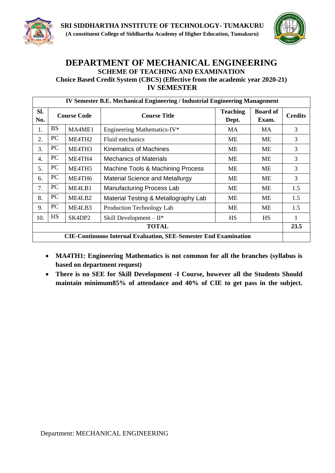



## **DEPARTMENT OF MECHANICAL ENGINEERING SCHEME OF TEACHING AND EXAMINATION Choice Based Credit System (CBCS) (Effective from the academic year 2020-21) IV SEMESTER**

|                                                                         | <b>IV Semester B.E. Mechanical Engineering / Industrial Engineering Management</b> |                    |                                        |                          |                          |                |
|-------------------------------------------------------------------------|------------------------------------------------------------------------------------|--------------------|----------------------------------------|--------------------------|--------------------------|----------------|
| Sl.<br>No.                                                              |                                                                                    | <b>Course Code</b> | <b>Course Title</b>                    | <b>Teaching</b><br>Dept. | <b>Board of</b><br>Exam. | <b>Credits</b> |
| 1.                                                                      | <b>BS</b>                                                                          | MA4ME1             | Engineering Mathematics-IV*            | MA                       | MA                       | 3              |
| 2.                                                                      | PC                                                                                 | ME4TH2             | Fluid mechanics                        | ME                       | ME                       | 3              |
| 3.                                                                      | PC                                                                                 | ME4TH3             | Kinematics of Machines                 | МE                       | МE                       | 3              |
| $\overline{4}$ .                                                        | PC                                                                                 | ME4TH4             | <b>Mechanics of Materials</b>          | МE                       | <b>ME</b>                | 3              |
| 5.                                                                      | PC                                                                                 | ME4TH5             | Machine Tools & Machining Process      | МE                       | <b>ME</b>                | 3              |
| 6.                                                                      | PC                                                                                 | ME4TH6             | <b>Material Science and Metallurgy</b> | <b>ME</b>                | ME                       | 3              |
| 7.                                                                      | PC                                                                                 | ME4LB1             | <b>Manufacturing Process Lab</b>       | МE                       | <b>ME</b>                | 1.5            |
| 8.                                                                      | PC                                                                                 | ME4LB2             | Material Testing & Metallography Lab   | <b>ME</b>                | ME                       | 1.5            |
| 9.                                                                      | PC                                                                                 | ME4LB3             | Production Technology Lab              | МE                       | ME                       | 1.5            |
| 10.                                                                     | <b>HS</b>                                                                          | SK4DP2             | Skill Development $-II^*$              | <b>HS</b>                | <b>HS</b>                |                |
| <b>TOTAL</b>                                                            |                                                                                    |                    |                                        | 23.5                     |                          |                |
| <b>CIE-Continuous Internal Evaluation, SEE-Semester End Examination</b> |                                                                                    |                    |                                        |                          |                          |                |

- **MA4TH1: Engineering Mathematics is not common for all the branches (syllabus is based on department request)**
- **There is no SEE for Skill Development -I Course, however all the Students Should maintain minimum85% of attendance and 40% of CIE to get pass in the subject.**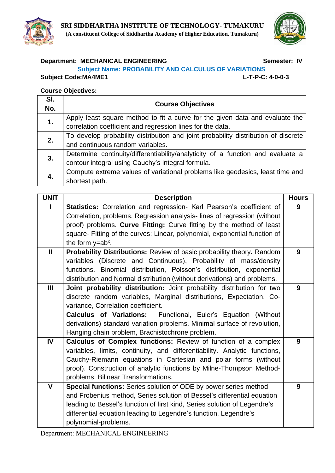



## **Department: MECHANICAL ENGINEERING Semester: IV**

#### **Subject Name: PROBABILITY AND CALCULUS OF VARIATIONS**

**Subject Code:MA4ME1 L-T-P-C: 4-0-0-3**

| SI.<br>No. | <b>Course Objectives</b>                                                           |
|------------|------------------------------------------------------------------------------------|
| 1.         | Apply least square method to fit a curve for the given data and evaluate the       |
|            | correlation coefficient and regression lines for the data.                         |
| 2.         | To develop probability distribution and joint probability distribution of discrete |
|            | and continuous random variables.                                                   |
| 3.         | Determine continuity/differentiability/analyticity of a function and evaluate a    |
|            | contour integral using Cauchy's integral formula.                                  |
| 4.         | Compute extreme values of variational problems like geodesics, least time and      |
|            | shortest path.                                                                     |
|            |                                                                                    |

| <b>UNIT</b>    | <b>Description</b>                                                         | <b>Hours</b> |
|----------------|----------------------------------------------------------------------------|--------------|
|                | Statistics: Correlation and regression- Karl Pearson's coefficient of      | 9            |
|                | Correlation, problems. Regression analysis-lines of regression (without    |              |
|                | proof) problems. Curve Fitting: Curve fitting by the method of least       |              |
|                | square- Fitting of the curves: Linear, polynomial, exponential function of |              |
|                | the form $y=ab^x$ .                                                        |              |
| $\mathbf{I}$   | Probability Distributions: Review of basic probability theory. Random      | 9            |
|                | variables (Discrete and Continuous), Probability of mass/density           |              |
|                | functions. Binomial distribution, Poisson's distribution, exponential      |              |
|                | distribution and Normal distribution (without derivations) and problems.   |              |
| $\mathbf{III}$ | Joint probability distribution: Joint probability distribution for two     | 9            |
|                | discrete random variables, Marginal distributions, Expectation, Co-        |              |
|                | variance, Correlation coefficient.                                         |              |
|                | <b>Calculus of Variations:</b> Functional, Euler's Equation (Without       |              |
|                | derivations) standard variation problems, Minimal surface of revolution,   |              |
|                | Hanging chain problem, Brachistochrone problem.                            |              |
| IV             | Calculus of Complex functions: Review of function of a complex             | 9            |
|                | variables, limits, continuity, and differentiability. Analytic functions,  |              |
|                | Cauchy-Riemann equations in Cartesian and polar forms (without             |              |
|                | proof). Construction of analytic functions by Milne-Thompson Method-       |              |
|                | problems. Bilinear Transformations.                                        |              |
| V              | Special functions: Series solution of ODE by power series method           | 9            |
|                | and Frobenius method, Series solution of Bessel's differential equation    |              |
|                | leading to Bessel's function of first kind, Series solution of Legendre's  |              |
|                | differential equation leading to Legendre's function, Legendre's           |              |
|                | polynomial-problems.                                                       |              |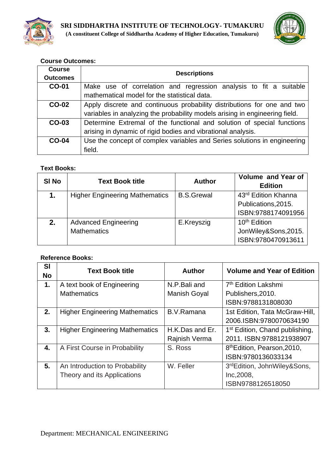



| <b>Course</b><br><b>Outcomes</b> | <b>Descriptions</b>                                                         |  |  |
|----------------------------------|-----------------------------------------------------------------------------|--|--|
| <b>CO-01</b>                     | Make use of correlation and regression analysis to fit a suitable           |  |  |
|                                  | mathematical model for the statistical data.                                |  |  |
| <b>CO-02</b>                     | Apply discrete and continuous probability distributions for one and two     |  |  |
|                                  | variables in analyzing the probability models arising in engineering field. |  |  |
| CO-03                            | Determine Extremal of the functional and solution of special functions      |  |  |
|                                  | arising in dynamic of rigid bodies and vibrational analysis.                |  |  |
| $CO-04$                          | Use the concept of complex variables and Series solutions in engineering    |  |  |
|                                  | field.                                                                      |  |  |

## **Text Books:**

| <b>SI No</b> | <b>Text Book title</b>                | <b>Author</b>     | <b>Volume and Year of</b><br><b>Edition</b> |
|--------------|---------------------------------------|-------------------|---------------------------------------------|
| 1.           | <b>Higher Engineering Mathematics</b> | <b>B.S.Grewal</b> | 43rd Edition Khanna                         |
|              |                                       |                   | Publications, 2015.                         |
|              |                                       |                   | ISBN:9788174091956                          |
| 2.           | <b>Advanced Engineering</b>           | E.Kreyszig        | 10 <sup>th</sup> Edition                    |
|              | <b>Mathematics</b>                    |                   | JonWiley&Sons,2015.                         |
|              |                                       |                   | ISBN:9780470913611                          |

| <b>SI</b><br><b>No</b> | <b>Text Book title</b>                | <b>Author</b>   | <b>Volume and Year of Edition</b>          |
|------------------------|---------------------------------------|-----------------|--------------------------------------------|
| 1.                     | A text book of Engineering            | N.P.Bali and    | 7 <sup>th</sup> Edition Lakshmi            |
|                        | <b>Mathematics</b>                    | Manish Goyal    | Publishers, 2010.                          |
|                        |                                       |                 | ISBN:9788131808030                         |
| 2.                     | <b>Higher Engineering Mathematics</b> | B.V.Ramana      | 1st Edition, Tata McGraw-Hill,             |
|                        |                                       |                 | 2006.ISBN:9780070634190                    |
| 3.                     | <b>Higher Engineering Mathematics</b> | H.K.Das and Er. | 1 <sup>st</sup> Edition, Chand publishing, |
|                        |                                       | Rajnish Verma   | 2011. ISBN:9788121938907                   |
| 4.                     | A First Course in Probability         | S. Ross         | 8 <sup>th</sup> Edition, Pearson, 2010,    |
|                        |                                       |                 | ISBN:9780136033134                         |
| 5.                     | An Introduction to Probability        | W. Feller       | 3rdEdition, JohnWiley&Sons,                |
|                        | Theory and its Applications           |                 | Inc, 2008,                                 |
|                        |                                       |                 | ISBN9788126518050                          |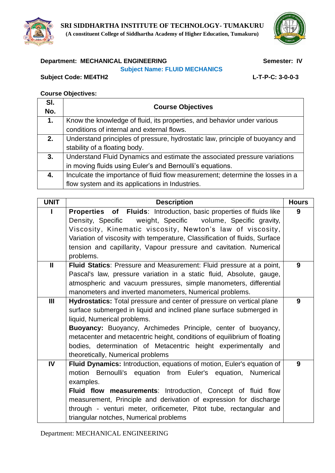

## **Department: MECHANICAL ENGINEERING Semester: IV**

#### **Subject Name: FLUID MECHANICS**

**Subject Code: ME4TH2 L-T-P-C: 3-0-0-3**

| SI.<br>No. | <b>Course Objectives</b>                                                      |
|------------|-------------------------------------------------------------------------------|
| 1.         | Know the knowledge of fluid, its properties, and behavior under various       |
|            | conditions of internal and external flows.                                    |
| 2.         | Understand principles of pressure, hydrostatic law, principle of buoyancy and |
|            | stability of a floating body.                                                 |
| 3.         | Understand Fluid Dynamics and estimate the associated pressure variations     |
|            | in moving fluids using Euler's and Bernoulli's equations.                     |
| 4.         | Inculcate the importance of fluid flow measurement; determine the losses in a |
|            | flow system and its applications in Industries.                               |

| <b>UNIT</b>    | <b>Description</b>                                                                                                                               | <b>Hours</b> |  |  |  |
|----------------|--------------------------------------------------------------------------------------------------------------------------------------------------|--------------|--|--|--|
|                | Properties of Fluids: Introduction, basic properties of fluids like                                                                              | 9            |  |  |  |
|                | weight, Specific volume, Specific gravity,<br>Density, Specific<br>Viscosity, Kinematic viscosity, Newton's law of viscosity,                    |              |  |  |  |
|                | Variation of viscosity with temperature, Classification of fluids, Surface                                                                       |              |  |  |  |
|                | tension and capillarity, Vapour pressure and cavitation. Numerical                                                                               |              |  |  |  |
|                | problems.                                                                                                                                        |              |  |  |  |
| $\mathbf{I}$   | Fluid Statics: Pressure and Measurement: Fluid pressure at a point,                                                                              | 9            |  |  |  |
|                | Pascal's law, pressure variation in a static fluid, Absolute, gauge,                                                                             |              |  |  |  |
|                | atmospheric and vacuum pressures, simple manometers, differential                                                                                |              |  |  |  |
|                | manometers and inverted manometers, Numerical problems.                                                                                          |              |  |  |  |
| $\mathbf{III}$ | Hydrostatics: Total pressure and center of pressure on vertical plane                                                                            | 9            |  |  |  |
|                | surface submerged in liquid and inclined plane surface submerged in                                                                              |              |  |  |  |
|                | liquid, Numerical problems.                                                                                                                      |              |  |  |  |
|                | <b>Buoyancy:</b> Buoyancy, Archimedes Principle, center of buoyancy,<br>metacenter and metacentric height, conditions of equilibrium of floating |              |  |  |  |
|                |                                                                                                                                                  |              |  |  |  |
|                | bodies, determination of Metacentric height experimentally and                                                                                   |              |  |  |  |
|                | theoretically, Numerical problems                                                                                                                |              |  |  |  |
| IV             | Fluid Dynamics: Introduction, equations of motion, Euler's equation of                                                                           | 9            |  |  |  |
|                | motion Bernoulli's equation from Euler's equation, Numerical<br>examples.                                                                        |              |  |  |  |
|                |                                                                                                                                                  |              |  |  |  |
|                | Fluid flow measurements: Introduction, Concept of fluid flow<br>measurement, Principle and derivation of expression for discharge                |              |  |  |  |
|                | through - venturi meter, orificemeter, Pitot tube, rectangular and                                                                               |              |  |  |  |
|                | triangular notches, Numerical problems                                                                                                           |              |  |  |  |
|                |                                                                                                                                                  |              |  |  |  |

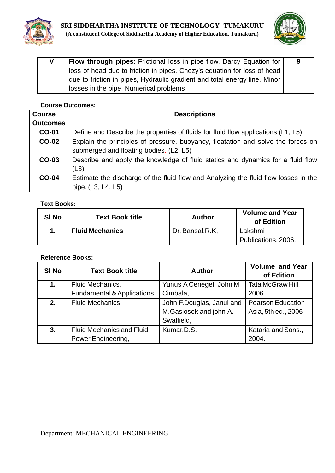



| V | Flow through pipes: Frictional loss in pipe flow, Darcy Equation for      | 9 |
|---|---------------------------------------------------------------------------|---|
|   | loss of head due to friction in pipes, Chezy's equation for loss of head  |   |
|   | due to friction in pipes, Hydraulic gradient and total energy line. Minor |   |
|   | losses in the pipe, Numerical problems                                    |   |

| <b>Course</b>   | <b>Descriptions</b>                                                                 |
|-----------------|-------------------------------------------------------------------------------------|
| <b>Outcomes</b> |                                                                                     |
| <b>CO-01</b>    | Define and Describe the properties of fluids for fluid flow applications (L1, L5)   |
| <b>CO-02</b>    | Explain the principles of pressure, buoyancy, floatation and solve the forces on    |
|                 | submerged and floating bodies. (L2, L5)                                             |
| CO-03           | Describe and apply the knowledge of fluid statics and dynamics for a fluid flow     |
|                 | (L3)                                                                                |
| $CO-04$         | Estimate the discharge of the fluid flow and Analyzing the fluid flow losses in the |
|                 | pipe. (L3, L4, L5)                                                                  |

### **Text Books:**

| <b>SI No</b> | <b>Text Book title</b> | <b>Author</b>   | <b>Volume and Year</b><br>of Edition |
|--------------|------------------------|-----------------|--------------------------------------|
|              | <b>Fluid Mechanics</b> | Dr. Bansal.R.K. | Lakshmi                              |
|              |                        |                 | Publications, 2006.                  |

| SI <sub>No</sub> | <b>Text Book title</b>           | <b>Author</b>                                       | <b>Volume and Year</b><br>of Edition            |
|------------------|----------------------------------|-----------------------------------------------------|-------------------------------------------------|
| 1.               | Fluid Mechanics,                 | Yunus A Cenegel, John M                             | Tata McGraw Hill,                               |
|                  | Fundamental & Applications,      | Cimbala,                                            | 2006.                                           |
| 2.               | <b>Fluid Mechanics</b>           | John F.Douglas, Janul and<br>M.Gasiosek and john A. | <b>Pearson Education</b><br>Asia, 5th ed., 2006 |
|                  |                                  | Swaffield,                                          |                                                 |
| 3.               | <b>Fluid Mechanics and Fluid</b> | Kumar, D.S.                                         | Kataria and Sons.,                              |
|                  | Power Engineering,               |                                                     | 2004.                                           |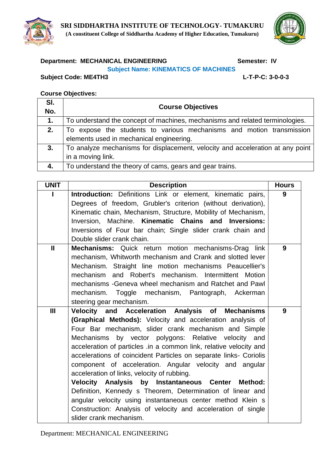



# **Department: MECHANICAL ENGINEERING Semester: IV**

## **Subject Name: KINEMATICS OF MACHINES**

**Subject Code: ME4TH3 L-T-P-C: 3-0-0-3**

| SI.<br>No. | <b>Course Objectives</b>                                                       |
|------------|--------------------------------------------------------------------------------|
|            |                                                                                |
| 1.         | To understand the concept of machines, mechanisms and related terminologies.   |
| 2.         | To expose the students to various mechanisms and motion transmission           |
|            | elements used in mechanical engineering.                                       |
| 3.         | To analyze mechanisms for displacement, velocity and acceleration at any point |
|            | in a moving link.                                                              |
| 4.         | To understand the theory of cams, gears and gear trains.                       |

| <b>UNIT</b>   | <b>Description</b>                                                 | <b>Hours</b> |
|---------------|--------------------------------------------------------------------|--------------|
|               | Introduction: Definitions Link or element, kinematic pairs,        | 9            |
|               | Degrees of freedom, Grubler's criterion (without derivation),      |              |
|               | Kinematic chain, Mechanism, Structure, Mobility of Mechanism,      |              |
|               | Inversion, Machine. Kinematic Chains and Inversions:               |              |
|               | Inversions of Four bar chain; Single slider crank chain and        |              |
|               | Double slider crank chain.                                         |              |
| $\mathbf{II}$ | Mechanisms: Quick return motion mechanisms-Drag link               | 9            |
|               | mechanism, Whitworth mechanism and Crank and slotted lever         |              |
|               | Mechanism. Straight line motion mechanisms Peaucellier's           |              |
|               | mechanism and Robert's mechanism. Intermittent Motion              |              |
|               | mechanisms - Geneva wheel mechanism and Ratchet and Pawl           |              |
|               | mechanism. Toggle mechanism, Pantograph, Ackerman                  |              |
|               | steering gear mechanism.                                           |              |
| III           | Velocity and Acceleration Analysis of Mechanisms                   | 9            |
|               | (Graphical Methods): Velocity and acceleration analysis of         |              |
|               | Four Bar mechanism, slider crank mechanism and Simple              |              |
|               | Mechanisms by vector polygons: Relative velocity and               |              |
|               | acceleration of particles .in a common link, relative velocity and |              |
|               | accelerations of coincident Particles on separate links- Coriolis  |              |
|               | component of acceleration. Angular velocity and angular            |              |
|               | acceleration of links, velocity of rubbing.                        |              |
|               | Velocity Analysis by Instantaneous Center<br><b>Method:</b>        |              |
|               | Definition, Kennedy s Theorem, Determination of linear and         |              |
|               | angular velocity using instantaneous center method Klein s         |              |
|               | Construction: Analysis of velocity and acceleration of single      |              |
|               | slider crank mechanism.                                            |              |

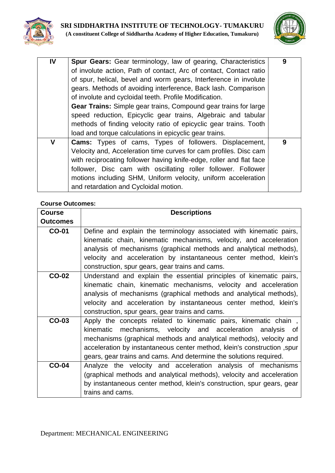



| $\mathbf{I}$ | Spur Gears: Gear terminology, law of gearing, Characteristics<br>of involute action, Path of contact, Arc of contact, Contact ratio<br>of spur, helical, bevel and worm gears, Interference in involute<br>gears. Methods of avoiding interference, Back lash. Comparison<br>of involute and cycloidal teeth. Profile Modification.<br>Gear Trains: Simple gear trains, Compound gear trains for large<br>speed reduction, Epicyclic gear trains, Algebraic and tabular<br>methods of finding velocity ratio of epicyclic gear trains. Tooth<br>load and torque calculations in epicyclic gear trains. | 9 |
|--------------|--------------------------------------------------------------------------------------------------------------------------------------------------------------------------------------------------------------------------------------------------------------------------------------------------------------------------------------------------------------------------------------------------------------------------------------------------------------------------------------------------------------------------------------------------------------------------------------------------------|---|
| V            | <b>Cams:</b> Types of cams, Types of followers. Displacement,<br>Velocity and, Acceleration time curves for cam profiles. Disc cam<br>with reciprocating follower having knife-edge, roller and flat face<br>follower, Disc cam with oscillating roller follower. Follower<br>motions including SHM, Uniform velocity, uniform acceleration<br>and retardation and Cycloidal motion.                                                                                                                                                                                                                   | 9 |

| <b>Course</b>   | <b>Descriptions</b>                                                     |
|-----------------|-------------------------------------------------------------------------|
| <b>Outcomes</b> |                                                                         |
| <b>CO-01</b>    | Define and explain the terminology associated with kinematic pairs,     |
|                 | kinematic chain, kinematic mechanisms, velocity, and acceleration       |
|                 | analysis of mechanisms (graphical methods and analytical methods),      |
|                 | velocity and acceleration by instantaneous center method, klein's       |
|                 | construction, spur gears, gear trains and cams.                         |
| <b>CO-02</b>    | Understand and explain the essential principles of kinematic pairs,     |
|                 | kinematic chain, kinematic mechanisms, velocity and acceleration        |
|                 | analysis of mechanisms (graphical methods and analytical methods),      |
|                 | velocity and acceleration by instantaneous center method, klein's       |
|                 | construction, spur gears, gear trains and cams.                         |
| CO-03           | Apply the concepts related to kinematic pairs, kinematic chain,         |
|                 | kinematic mechanisms, velocity and acceleration analysis of             |
|                 | mechanisms (graphical methods and analytical methods), velocity and     |
|                 | acceleration by instantaneous center method, klein's construction, spur |
|                 | gears, gear trains and cams. And determine the solutions required.      |
| <b>CO-04</b>    | Analyze the velocity and acceleration analysis of mechanisms            |
|                 | (graphical methods and analytical methods), velocity and acceleration   |
|                 | by instantaneous center method, klein's construction, spur gears, gear  |
|                 | trains and cams.                                                        |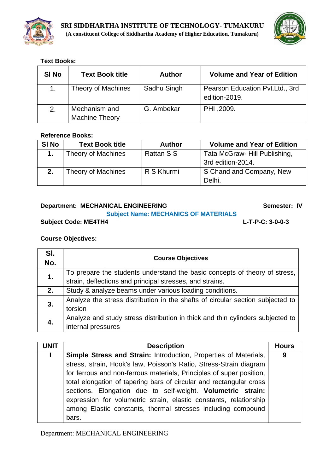



### **Text Books:**

| SI <sub>No</sub> | <b>Text Book title</b>                 | <b>Author</b> | <b>Volume and Year of Edition</b>                |
|------------------|----------------------------------------|---------------|--------------------------------------------------|
|                  | Theory of Machines                     | Sadhu Singh   | Pearson Education Pvt.Ltd., 3rd<br>edition-2019. |
| 2.               | Mechanism and<br><b>Machine Theory</b> | G. Ambekar    | PHI ,2009.                                       |

### **Reference Books:**

| <b>SI No</b> | <b>Text Book title</b>    | <b>Author</b> | <b>Volume and Year of Edition</b> |
|--------------|---------------------------|---------------|-----------------------------------|
|              | <b>Theory of Machines</b> | Rattan S S    | Tata McGraw- Hill Publishing,     |
|              |                           |               | 3rd edition-2014.                 |
| 2.           | <b>Theory of Machines</b> | R S Khurmi    | S Chand and Company, New          |
|              |                           |               | Delhi.                            |

#### **Department: MECHANICAL ENGINEERING CONSERVATION Semester: IV Subject Name: MECHANICS OF MATERIALS**

## **Subject Code: ME4TH4 L-T-P-C: 3-0-0-3**

## **Course Objectives:**

| SI.<br>No. | <b>Course Objectives</b>                                                                                                               |
|------------|----------------------------------------------------------------------------------------------------------------------------------------|
| 1.         | To prepare the students understand the basic concepts of theory of stress,<br>strain, deflections and principal stresses, and strains. |
| 2.         | Study & analyze beams under various loading conditions.                                                                                |
| 3.         | Analyze the stress distribution in the shafts of circular section subjected to<br>torsion                                              |
| 4.         | Analyze and study stress distribution in thick and thin cylinders subjected to<br>internal pressures                                   |

| <b>UNIT</b> | <b>Description</b>                                                   | <b>Hours</b> |
|-------------|----------------------------------------------------------------------|--------------|
|             | Simple Stress and Strain: Introduction, Properties of Materials,     | 9            |
|             | stress, strain, Hook's law, Poisson's Ratio, Stress-Strain diagram   |              |
|             | for ferrous and non-ferrous materials, Principles of super position, |              |
|             | total elongation of tapering bars of circular and rectangular cross  |              |
|             | sections. Elongation due to self-weight. Volumetric strain:          |              |
|             | expression for volumetric strain, elastic constants, relationship    |              |
|             | among Elastic constants, thermal stresses including compound         |              |
|             | bars.                                                                |              |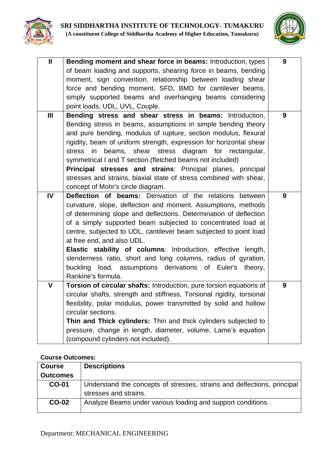



| $\overline{\mathsf{I}}$ | Bending moment and shear force in beams: Introduction, types           | 9 |
|-------------------------|------------------------------------------------------------------------|---|
|                         | of beam loading and supports, shearing force in beams, bending         |   |
|                         | moment, sign convention, relationship between loading shear            |   |
|                         | force and bending moment, SFD, BMD for cantilever beams,               |   |
|                         | simply supported beams and overhanging beams considering               |   |
|                         | point loads, UDL, UVL, Couple.                                         |   |
| III                     | Bending stress and shear stress in beams: Introduction,                | 9 |
|                         | Bending stress in beams, assumptions in simple bending theory          |   |
|                         | and pure bending, modulus of rupture, section modulus, flexural        |   |
|                         | rigidity, beam of uniform strength, expression for horizontal shear    |   |
|                         | shear<br>stress diagram<br>for rectangular,<br>stress<br>in<br>beams,  |   |
|                         | symmetrical I and T section. (fletched beams not included)             |   |
|                         | Principal stresses and strains: Principal planes, principal            |   |
|                         | stresses and strains, biaxial state of stress combined with shear,     |   |
|                         | concept of Mohr's circle diagram.                                      |   |
| IV                      | Deflection of beams: Derivation of the relations between               | 9 |
|                         | curvature, slope, deflection and moment. Assumptions, methods          |   |
|                         | of determining slope and deflections. Determination of deflection      |   |
|                         | of a simply supported beam subjected to concentrated load at           |   |
|                         | centre, subjected to UDL, cantilever beam subjected to point load      |   |
|                         | at free end, and also UDL.                                             |   |
|                         | Elastic stability of columns: Introduction, effective length,          |   |
|                         | slenderness ratio, short and long columns, radius of gyration,         |   |
|                         | buckling load, assumptions derivations of Euler's theory,              |   |
|                         | Rankine's formula.                                                     |   |
| $\mathbf v$             | Torsion of circular shafts: Introduction, pure torsion equations of    | 9 |
|                         | circular shafts, strength and stiffness, Torsional rigidity, torsional |   |
|                         | flexibility, polar modulus, power transmitted by solid and hollow      |   |
|                         | circular sections.                                                     |   |
|                         | Thin and Thick cylinders: Thin and thick cylinders subjected to        |   |
|                         | pressure, change in length, diameter, volume, Lame's equation          |   |
|                         | (compound cylinders not included).                                     |   |

|                 | ovurse outvones.                                                                                 |  |
|-----------------|--------------------------------------------------------------------------------------------------|--|
| <b>Course</b>   | <b>Descriptions</b>                                                                              |  |
| <b>Outcomes</b> |                                                                                                  |  |
| <b>CO-01</b>    | Understand the concepts of stresses, strains and deflections, principal<br>stresses and strains. |  |
| <b>CO-02</b>    | Analyze Beams under various loading and support conditions.                                      |  |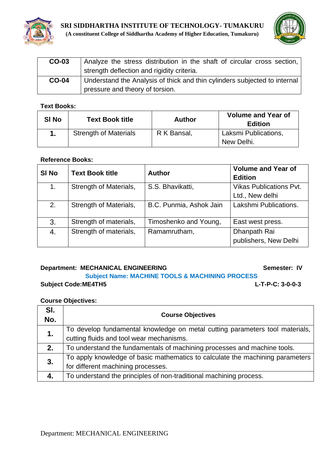



| CO-03        | Analyze the stress distribution in the shaft of circular cross section,<br>strength deflection and rigidity criteria. |
|--------------|-----------------------------------------------------------------------------------------------------------------------|
| <b>CO-04</b> | Understand the Analysis of thick and thin cylinders subjected to internal<br>pressure and theory of torsion.          |

#### **Text Books:**

| <b>SI No</b> | <b>Text Book title</b>       | <b>Author</b> | <b>Volume and Year of</b><br><b>Edition</b> |
|--------------|------------------------------|---------------|---------------------------------------------|
|              | <b>Strength of Materials</b> | R K Bansal,   | Laksmi Publications,<br>New Delhi.          |

#### **Reference Books:**

| SI <sub>No</sub> | <b>Text Book title</b> | <b>Author</b>           | <b>Volume and Year of</b><br><b>Edition</b> |
|------------------|------------------------|-------------------------|---------------------------------------------|
| 1.               | Strength of Materials, | S.S. Bhavikatti,        | <b>Vikas Publications Pvt.</b>              |
|                  |                        |                         | Ltd., New delhi                             |
| 2.               | Strength of Materials, | B.C. Punmia, Ashok Jain | Lakshmi Publications.                       |
| 3.               | Strength of materials, | Timoshenko and Young,   | East west press.                            |
| 4.               | Strength of materials, | Ramamrutham,            | Dhanpath Rai                                |
|                  |                        |                         | publishers, New Delhi                       |

#### **Department: MECHANICAL ENGINEERING Semester: IV**

## **Subject Name: MACHINE TOOLS & MACHINING PROCESS Subject Code:ME4TH5 L-T-P-C: 3-0-0-3**

| SI.<br>No. | <b>Course Objectives</b>                                                      |
|------------|-------------------------------------------------------------------------------|
| 1.         | To develop fundamental knowledge on metal cutting parameters tool materials,  |
|            | cutting fluids and tool wear mechanisms.                                      |
| 2.         | To understand the fundamentals of machining processes and machine tools.      |
| 3.         | To apply knowledge of basic mathematics to calculate the machining parameters |
|            | for different machining processes.                                            |
| 4.         | To understand the principles of non-traditional machining process.            |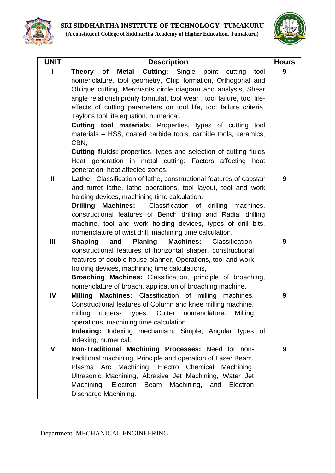

| <b>UNIT</b> | <b>Description</b>                                                                                                            | <b>Hours</b> |
|-------------|-------------------------------------------------------------------------------------------------------------------------------|--------------|
| L           | Metal Cutting: Single point cutting<br>Theory of<br>tool                                                                      | 9            |
|             | nomenclature, tool geometry, Chip formation, Orthogonal and                                                                   |              |
|             | Oblique cutting, Merchants circle diagram and analysis, Shear                                                                 |              |
|             | angle relationship (only formula), tool wear, tool failure, tool life-                                                        |              |
|             | effects of cutting parameters on tool life, tool failure criteria,                                                            |              |
|             | Taylor's tool life equation, numerical.                                                                                       |              |
|             | Cutting tool materials: Properties, types of cutting tool                                                                     |              |
|             | materials - HSS, coated carbide tools, carbide tools, ceramics,                                                               |              |
|             | CBN,                                                                                                                          |              |
|             | <b>Cutting fluids:</b> properties, types and selection of cutting fluids                                                      |              |
|             | Heat generation in metal cutting: Factors affecting<br>heat                                                                   |              |
|             | generation, heat affected zones.                                                                                              |              |
| Ш           | Lathe: Classification of lathe, constructional features of capstan                                                            | 9            |
|             | and turret lathe, lathe operations, tool layout, tool and work                                                                |              |
|             | holding devices, machining time calculation.                                                                                  |              |
|             | <b>Machines:</b> Classification of drilling<br><b>Drilling</b><br>machines,                                                   |              |
|             | constructional features of Bench drilling and Radial drilling<br>machine, tool and work holding devices, types of drill bits, |              |
|             | nomenclature of twist drill, machining time calculation.                                                                      |              |
| Ш           | <b>Planing</b><br><b>Shaping</b><br>and<br><b>Machines:</b><br>Classification,                                                | 9            |
|             | constructional features of horizontal shaper, constructional                                                                  |              |
|             | features of double house planner, Operations, tool and work                                                                   |              |
|             | holding devices, machining time calculations,                                                                                 |              |
|             | <b>Broaching Machines:</b> Classification, principle of broaching,                                                            |              |
|             | nomenclature of broach, application of broaching machine.                                                                     |              |
| IV          | <b>Milling</b><br>Machines: Classification of milling<br>machines.                                                            | 9            |
|             | Constructional features of Column and knee milling machine,                                                                   |              |
|             | milling<br>cutters- types. Cutter<br>nomenclature.<br>Milling                                                                 |              |
|             | operations, machining time calculation.                                                                                       |              |
|             | Indexing: Indexing mechanism, Simple, Angular types of                                                                        |              |
|             | indexing, numerical.                                                                                                          |              |
| V           | Non-Traditional Machining Processes: Need for non-                                                                            | 9            |
|             | traditional machining, Principle and operation of Laser Beam,                                                                 |              |
|             | Machining, Electro Chemical<br>Plasma<br>Arc<br>Machining,                                                                    |              |
|             | Ultrasonic Machining, Abrasive Jet Machining, Water Jet                                                                       |              |
|             | Machining, Electron Beam Machining, and Electron                                                                              |              |
|             | Discharge Machining.                                                                                                          |              |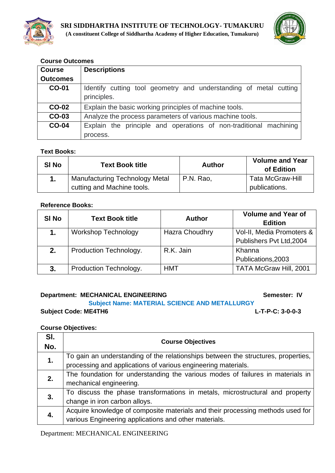



| <b>Course</b>   | <b>Descriptions</b>                                                              |  |
|-----------------|----------------------------------------------------------------------------------|--|
| <b>Outcomes</b> |                                                                                  |  |
| <b>CO-01</b>    | Identify cutting tool geometry and understanding of metal cutting<br>principles. |  |
| <b>CO-02</b>    | Explain the basic working principles of machine tools.                           |  |
| CO-03           | Analyze the process parameters of various machine tools.                         |  |
| <b>CO-04</b>    | Explain the principle and operations of non-traditional machining                |  |
|                 | process.                                                                         |  |

#### **Text Books:**

| SI <sub>No</sub> | <b>Text Book title</b>                | <b>Author</b> | <b>Volume and Year</b><br>of Edition |
|------------------|---------------------------------------|---------------|--------------------------------------|
|                  | <b>Manufacturing Technology Metal</b> | P.N. Rao,     | <b>Tata McGraw-Hill</b>              |
|                  | cutting and Machine tools.            |               | publications.                        |

#### **Reference Books:**

| <b>SI No</b> | <b>Text Book title</b>     | <b>Author</b>         | <b>Volume and Year of</b><br><b>Edition</b> |
|--------------|----------------------------|-----------------------|---------------------------------------------|
| 1.           | <b>Workshop Technology</b> | <b>Hazra Choudhry</b> | Vol-II, Media Promoters &                   |
|              |                            |                       | Publishers Pvt Ltd, 2004                    |
| 2.           | Production Technology.     | R.K. Jain             | Khanna                                      |
|              |                            |                       | Publications, 2003                          |
| 3.           | Production Technology.     | <b>HMT</b>            | TATA McGraw Hill, 2001                      |

#### **Department: MECHANICAL ENGINEERING Semester: IV**

#### **Subject Name: MATERIAL SCIENCE AND METALLURGY Subject Code: ME4TH6 L-T-P-C: 3-0-0-3**

#### **Course Objectives:**

| SI.<br>No. | <b>Course Objectives</b>                                                          |
|------------|-----------------------------------------------------------------------------------|
| 1.         | To gain an understanding of the relationships between the structures, properties, |
|            | processing and applications of various engineering materials.                     |
| 2.         | The foundation for understanding the various modes of failures in materials in    |
|            | mechanical engineering.                                                           |
| 3.         | To discuss the phase transformations in metals, microstructural and property      |
|            | change in iron carbon alloys.                                                     |
|            | Acquire knowledge of composite materials and their processing methods used for    |
|            | various Engineering applications and other materials.                             |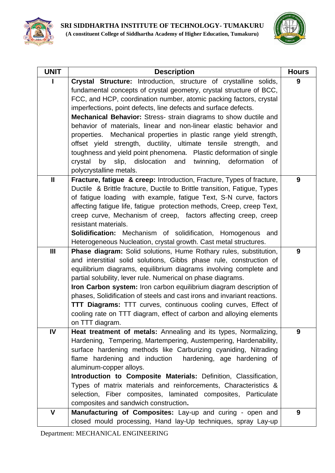



| <b>UNIT</b>  | <b>Description</b>                                                                                                                                                                                                                                                                                                                                                                                                                                                                                                                                                                                                                                                                                                                             | <b>Hours</b> |
|--------------|------------------------------------------------------------------------------------------------------------------------------------------------------------------------------------------------------------------------------------------------------------------------------------------------------------------------------------------------------------------------------------------------------------------------------------------------------------------------------------------------------------------------------------------------------------------------------------------------------------------------------------------------------------------------------------------------------------------------------------------------|--------------|
|              | Crystal Structure: Introduction, structure of crystalline solids,<br>fundamental concepts of crystal geometry, crystal structure of BCC,<br>FCC, and HCP, coordination number, atomic packing factors, crystal<br>imperfections, point defects, line defects and surface defects.<br>Mechanical Behavior: Stress- strain diagrams to show ductile and<br>behavior of materials, linear and non-linear elastic behavior and<br>properties. Mechanical properties in plastic range yield strength,<br>offset yield strength, ductility, ultimate tensile strength, and<br>toughness and yield point phenomena. Plastic deformation of single<br>by slip, dislocation and<br>crystal<br>twinning,<br>deformation<br>0f<br>polycrystalline metals. | 9            |
| $\mathbf{I}$ | Fracture, fatigue & creep: Introduction, Fracture, Types of fracture,<br>Ductile & Brittle fracture, Ductile to Brittle transition, Fatigue, Types<br>of fatigue loading with example, fatigue Text, S-N curve, factors<br>affecting fatigue life, fatigue protection methods, Creep, creep Text,<br>creep curve, Mechanism of creep, factors affecting creep, creep<br>resistant materials.<br><b>Solidification:</b> Mechanism of solidification, Homogenous and<br>Heterogeneous Nucleation, crystal growth. Cast metal structures.                                                                                                                                                                                                         | 9            |
| Ш            | <b>Phase diagram:</b> Solid solutions, Hume Rothary rules, substitution,<br>and interstitial solid solutions, Gibbs phase rule, construction of<br>equilibrium diagrams, equilibrium diagrams involving complete and<br>partial solubility, lever rule. Numerical on phase diagrams.<br>Iron Carbon system: Iron carbon equilibrium diagram description of<br>phases, Solidification of steels and cast irons and invariant reactions.<br>TTT Diagrams: TTT curves, continuous cooling curves, Effect of<br>cooling rate on TTT diagram, effect of carbon and alloying elements<br>on TTT diagram.                                                                                                                                             | 9            |
| IV           | Heat treatment of metals: Annealing and its types, Normalizing,<br>Hardening, Tempering, Martempering, Austempering, Hardenability,<br>surface hardening methods like Carburizing cyaniding, Nitrading<br>flame hardening and induction<br>hardening, age hardening of<br>aluminum-copper alloys.<br>Introduction to Composite Materials: Definition, Classification,<br>Types of matrix materials and reinforcements, Characteristics &<br>selection, Fiber composites, laminated composites, Particulate<br>composites and sandwich construction.                                                                                                                                                                                            | 9            |
| $\mathbf v$  | Manufacturing of Composites: Lay-up and curing - open and                                                                                                                                                                                                                                                                                                                                                                                                                                                                                                                                                                                                                                                                                      | 9            |
|              | closed mould processing, Hand lay-Up techniques, spray Lay-up                                                                                                                                                                                                                                                                                                                                                                                                                                                                                                                                                                                                                                                                                  |              |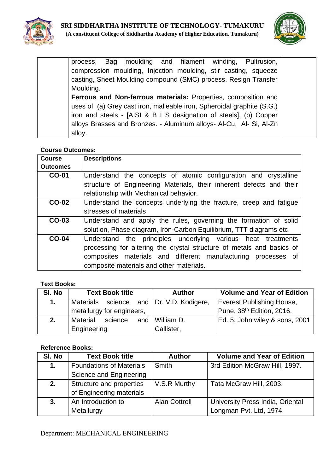



process, Bag moulding and filament winding, Pultrusion, compression moulding, Injection moulding, stir casting, squeeze casting, Sheet Moulding compound (SMC) process, Resign Transfer Moulding. **Ferrous and Non-ferrous materials:** Properties, composition and uses of (a) Grey cast iron, malleable iron, Spheroidal graphite (S.G.) iron and steels - [AISI & B I S designation of steels], (b) Copper alloys Brasses and Bronzes. - Aluminum alloys- Al-Cu, Al- Si, Al-Zn alloy.

### **Course Outcomes:**

| <b>Course</b>   | <b>Descriptions</b>                                                   |  |  |
|-----------------|-----------------------------------------------------------------------|--|--|
| <b>Outcomes</b> |                                                                       |  |  |
| <b>CO-01</b>    | Understand the concepts of atomic configuration and crystalline       |  |  |
|                 | structure of Engineering Materials, their inherent defects and their  |  |  |
|                 | relationship with Mechanical behavior.                                |  |  |
| <b>CO-02</b>    | Understand the concepts underlying the fracture, creep and fatigue    |  |  |
|                 | stresses of materials                                                 |  |  |
| CO-03           | Understand and apply the rules, governing the formation of solid      |  |  |
|                 | solution, Phase diagram, Iron-Carbon Equilibrium, TTT diagrams etc.   |  |  |
| <b>CO-04</b>    | Understand the principles underlying various heat treatments          |  |  |
|                 | processing for altering the crystal structure of metals and basics of |  |  |
|                 | composites materials and different manufacturing processes of         |  |  |
|                 | composite materials and other materials.                              |  |  |

#### **Text Books:**

| SI. No | <b>Text Book title</b>                   |         |  | <b>Author</b>                                      | <b>Volume and Year of Edition</b>     |
|--------|------------------------------------------|---------|--|----------------------------------------------------|---------------------------------------|
| 1.     | Materials science and Dr. V.D. Kodigere, |         |  | <b>Everest Publishing House,</b>                   |                                       |
|        | metallurgy for engineers,                |         |  |                                                    | Pune, 38 <sup>th</sup> Edition, 2016. |
| 2.     | Material                                 | science |  | Ed. 5, John wiley & sons, 2001<br>and I William D. |                                       |
|        | Engineering                              |         |  | Callister,                                         |                                       |

| SI. No | <b>Text Book title</b>          | <b>Author</b>        | <b>Volume and Year of Edition</b> |
|--------|---------------------------------|----------------------|-----------------------------------|
| 1.     | <b>Foundations of Materials</b> | <b>Smith</b>         | 3rd Edition McGraw Hill, 1997.    |
|        | Science and Engineering         |                      |                                   |
| 2.     | Structure and properties        | V.S.R Murthy         | Tata McGraw Hill, 2003.           |
|        | of Engineering materials        |                      |                                   |
| 3.     | An Introduction to              | <b>Alan Cottrell</b> | University Press India, Oriental  |
|        | Metallurgy                      |                      | Longman Pvt. Ltd, 1974.           |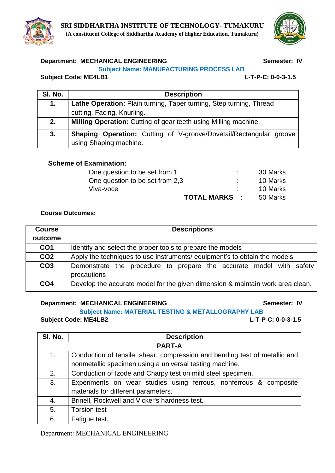

### **Department: MECHANICAL ENGINEERING Semester: IV**

#### **Subject Name: MANUFACTURING PROCESS LAB**

#### **Subject Code: ME4LB1 L-T-P-C: 0-0-3-1.5**

| SI. No. | <b>Description</b>                                                        |  |  |  |
|---------|---------------------------------------------------------------------------|--|--|--|
| 1.      | Lathe Operation: Plain turning, Taper turning, Step turning, Thread       |  |  |  |
|         | cutting, Facing, Knurling.                                                |  |  |  |
| 2.      | Milling Operation: Cutting of gear teeth using Milling machine.           |  |  |  |
| 3.      | <b>Shaping Operation:</b> Cutting of V-groove/Dovetail/Rectangular groove |  |  |  |
|         | using Shaping machine.                                                    |  |  |  |

#### **Scheme of Examination:**

| One question to be set from 1   | 30 Marks |
|---------------------------------|----------|
| One question to be set from 2,3 | 10 Marks |
| Viva-voce                       | 10 Marks |
| <b>TOTAL MARKS :</b>            | 50 Marks |

#### **Course Outcomes:**

| <b>Course</b>   | <b>Descriptions</b>                                                                |  |  |  |
|-----------------|------------------------------------------------------------------------------------|--|--|--|
| outcome         |                                                                                    |  |  |  |
| CO <sub>1</sub> | Identify and select the proper tools to prepare the models                         |  |  |  |
| CO <sub>2</sub> | Apply the techniques to use instruments/ equipment's to obtain the models          |  |  |  |
| CO <sub>3</sub> | Demonstrate the procedure to prepare the accurate model with safety<br>precautions |  |  |  |
| CO <sub>4</sub> | Develop the accurate model for the given dimension & maintain work area clean.     |  |  |  |

#### **Department: MECHANICAL ENGINEERING Semester: IV**

**Subject Name: MATERIAL TESTING & METALLOGRAPHY LAB**

**Subject Code: ME4LB2 L-T-P-C: 0-0-3-1.5**

| SI. No. | <b>Description</b>                                                         |
|---------|----------------------------------------------------------------------------|
|         | <b>PART-A</b>                                                              |
| 1.      | Conduction of tensile, shear, compression and bending test of metallic and |
|         | nonmetallic specimen using a universal testing machine.                    |
| 2.      | Conduction of Izode and Charpy test on mild steel specimen.                |
| 3.      | Experiments on wear studies using ferrous, nonferrous & composite          |
|         | materials for different parameters.                                        |
| 4.      | Brinell, Rockwell and Vicker's hardness test.                              |
| 5.      | <b>Torsion test</b>                                                        |
| 6.      | Fatigue test.                                                              |



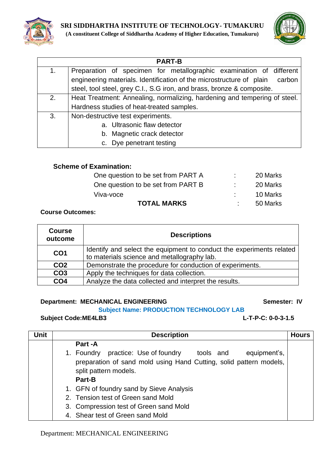



|    | <b>PART-B</b>                                                                  |  |  |
|----|--------------------------------------------------------------------------------|--|--|
| 1. | Preparation of specimen for metallographic examination of different            |  |  |
|    | engineering materials. Identification of the microstructure of plain<br>carbon |  |  |
|    | steel, tool steel, grey C.I., S.G iron, and brass, bronze & composite.         |  |  |
| 2. | Heat Treatment: Annealing, normalizing, hardening and tempering of steel.      |  |  |
|    | Hardness studies of heat-treated samples.                                      |  |  |
| 3. | Non-destructive test experiments.                                              |  |  |
|    | a. Ultrasonic flaw detector                                                    |  |  |
|    | b. Magnetic crack detector                                                     |  |  |
|    | c. Dye penetrant testing                                                       |  |  |

## **Scheme of Examination:**

| <b>TOTAL MARKS</b>                 | 50 Marks |
|------------------------------------|----------|
| Viva-voce                          | 10 Marks |
| One question to be set from PART B | 20 Marks |
| One question to be set from PART A | 20 Marks |

#### **Course Outcomes:**

| <b>Course</b><br>outcome                                                                                                               | <b>Descriptions</b>                                      |  |
|----------------------------------------------------------------------------------------------------------------------------------------|----------------------------------------------------------|--|
| Identify and select the equipment to conduct the experiments related<br>CO <sub>1</sub><br>to materials science and metallography lab. |                                                          |  |
| CO <sub>2</sub>                                                                                                                        | Demonstrate the procedure for conduction of experiments. |  |
| CO <sub>3</sub><br>Apply the techniques for data collection.                                                                           |                                                          |  |
| CO <sub>4</sub>                                                                                                                        | Analyze the data collected and interpret the results.    |  |

#### **Department: MECHANICAL ENGINEERING Semester: IV**

**Subject Name: PRODUCTION TECHNOLOGY LAB**

## **Subject Code:ME4LB3 L-T-P-C: 0-0-3-1.5**

| <b>Unit</b> | <b>Description</b>                                                                                                                                                        | <b>Hours</b> |
|-------------|---------------------------------------------------------------------------------------------------------------------------------------------------------------------------|--------------|
|             | Part -A                                                                                                                                                                   |              |
|             | 1. Foundry practice: Use of foundry<br>equipment's,<br>tools and<br>preparation of sand mold using Hand Cutting, solid pattern models,<br>split pattern models.<br>Part-B |              |
|             | 1. GFN of foundry sand by Sieve Analysis                                                                                                                                  |              |
|             | 2. Tension test of Green sand Mold                                                                                                                                        |              |
|             | 3. Compression test of Green sand Mold                                                                                                                                    |              |
|             | 4. Shear test of Green sand Mold                                                                                                                                          |              |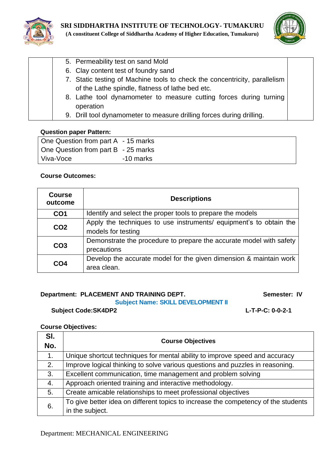



| 5. Permeability test on sand Mold                                          |  |
|----------------------------------------------------------------------------|--|
| 6. Clay content test of foundry sand                                       |  |
| 7. Static testing of Machine tools to check the concentricity, parallelism |  |
| of the Lathe spindle, flatness of lathe bed etc.                           |  |
| 8. Lathe tool dynamometer to measure cutting forces during turning         |  |
| operation                                                                  |  |
| 9. Drill tool dynamometer to measure drilling forces during drilling.      |  |
|                                                                            |  |

#### **Question paper Pattern:**

| One Question from part A - 15 marks |           |
|-------------------------------------|-----------|
| One Question from part B - 25 marks |           |
| Viva-Voce                           | -10 marks |

## **Course Outcomes:**

| <b>Course</b><br>outcome | <b>Descriptions</b>                                                                      |  |  |
|--------------------------|------------------------------------------------------------------------------------------|--|--|
| CO <sub>1</sub>          | Identify and select the proper tools to prepare the models                               |  |  |
| CO <sub>2</sub>          | Apply the techniques to use instruments/ equipment's to obtain the<br>models for testing |  |  |
| CO <sub>3</sub>          | Demonstrate the procedure to prepare the accurate model with safety<br>precautions       |  |  |
| CO <sub>4</sub>          | Develop the accurate model for the given dimension & maintain work<br>area clean.        |  |  |

## **Department: PLACEMENT AND TRAINING DEPT.** Semester: IV

### **Subject Name: SKILL DEVELOPMENT II**

**Subject Code:SK4DP2 L-T-P-C: 0-0-2-1**

#### **Course Objectives:**

| SI.<br>No. | <b>Course Objectives</b>                                                           |  |  |
|------------|------------------------------------------------------------------------------------|--|--|
| 1.         | Unique shortcut techniques for mental ability to improve speed and accuracy        |  |  |
| 2.         | Improve logical thinking to solve various questions and puzzles in reasoning.      |  |  |
| 3.         | Excellent communication, time management and problem solving                       |  |  |
| 4.         | Approach oriented training and interactive methodology.                            |  |  |
| 5.         | Create amicable relationships to meet professional objectives                      |  |  |
| 6.         | To give better idea on different topics to increase the competency of the students |  |  |
|            | in the subject.                                                                    |  |  |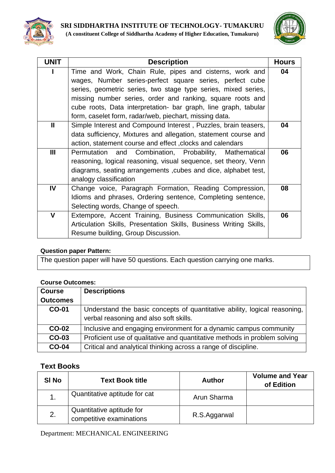



| <b>UNIT</b> | <b>Description</b>                                                 | <b>Hours</b> |
|-------------|--------------------------------------------------------------------|--------------|
|             | Time and Work, Chain Rule, pipes and cisterns, work and            | 04           |
|             | wages, Number series-perfect square series, perfect cube           |              |
|             | series, geometric series, two stage type series, mixed series,     |              |
|             | missing number series, order and ranking, square roots and         |              |
|             | cube roots, Data interpretation- bar graph, line graph, tabular    |              |
|             | form, caselet form, radar/web, piechart, missing data.             |              |
| Ш           | Simple Interest and Compound Interest, Puzzles, brain teasers,     | 04           |
|             | data sufficiency, Mixtures and allegation, statement course and    |              |
|             | action, statement course and effect, clocks and calendars          |              |
| Ш           | Permutation and Combination, Probability, Mathematical             | 06           |
|             | reasoning, logical reasoning, visual sequence, set theory, Venn    |              |
|             | diagrams, seating arrangements, cubes and dice, alphabet test,     |              |
|             | analogy classification                                             |              |
| IV          | Change voice, Paragraph Formation, Reading Compression,            | 08           |
|             | Idioms and phrases, Ordering sentence, Completing sentence,        |              |
|             | Selecting words, Change of speech.                                 |              |
| V           | Extempore, Accent Training, Business Communication Skills,         | 06           |
|             | Articulation Skills, Presentation Skills, Business Writing Skills, |              |
|             | Resume building, Group Discussion.                                 |              |

## **Question paper Pattern:**

The question paper will have 50 questions. Each question carrying one marks.

#### **Course Outcomes:**

| <b>Course</b>   | <b>Descriptions</b>                                                                                                 |
|-----------------|---------------------------------------------------------------------------------------------------------------------|
| <b>Outcomes</b> |                                                                                                                     |
| <b>CO-01</b>    | Understand the basic concepts of quantitative ability, logical reasoning,<br>verbal reasoning and also soft skills. |
| <b>CO-02</b>    | Inclusive and engaging environment for a dynamic campus community                                                   |
| CO-03           | Proficient use of qualitative and quantitative methods in problem solving                                           |
| <b>CO-04</b>    | Critical and analytical thinking across a range of discipline.                                                      |

## **Text Books**

| SI <sub>No</sub> | <b>Text Book title</b>                                | <b>Author</b> | <b>Volume and Year</b><br>of Edition |
|------------------|-------------------------------------------------------|---------------|--------------------------------------|
|                  | Quantitative aptitude for cat                         | Arun Sharma   |                                      |
| 2.               | Quantitative aptitude for<br>competitive examinations | R.S.Aggarwal  |                                      |